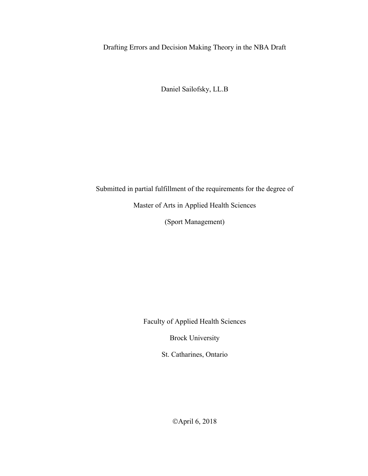Drafting Errors and Decision Making Theory in the NBA Draft

Daniel Sailofsky, LL.B

Submitted in partial fulfillment of the requirements for the degree of

Master of Arts in Applied Health Sciences

(Sport Management)

Faculty of Applied Health Sciences

Brock University

St. Catharines, Ontario

©April 6, 2018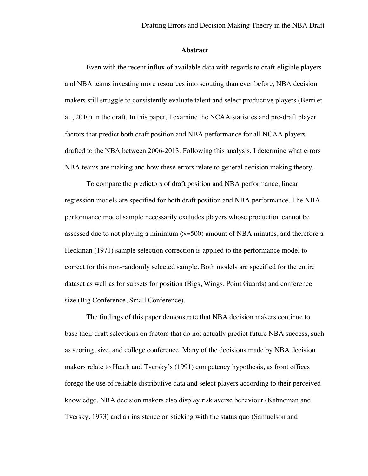### **Abstract**

Even with the recent influx of available data with regards to draft-eligible players and NBA teams investing more resources into scouting than ever before, NBA decision makers still struggle to consistently evaluate talent and select productive players (Berri et al., 2010) in the draft. In this paper, I examine the NCAA statistics and pre-draft player factors that predict both draft position and NBA performance for all NCAA players drafted to the NBA between 2006-2013. Following this analysis, I determine what errors NBA teams are making and how these errors relate to general decision making theory.

To compare the predictors of draft position and NBA performance, linear regression models are specified for both draft position and NBA performance. The NBA performance model sample necessarily excludes players whose production cannot be assessed due to not playing a minimum (>=500) amount of NBA minutes, and therefore a Heckman (1971) sample selection correction is applied to the performance model to correct for this non-randomly selected sample. Both models are specified for the entire dataset as well as for subsets for position (Bigs, Wings, Point Guards) and conference size (Big Conference, Small Conference).

The findings of this paper demonstrate that NBA decision makers continue to base their draft selections on factors that do not actually predict future NBA success, such as scoring, size, and college conference. Many of the decisions made by NBA decision makers relate to Heath and Tversky's (1991) competency hypothesis, as front offices forego the use of reliable distributive data and select players according to their perceived knowledge. NBA decision makers also display risk averse behaviour (Kahneman and Tversky, 1973) and an insistence on sticking with the status quo (Samuelson and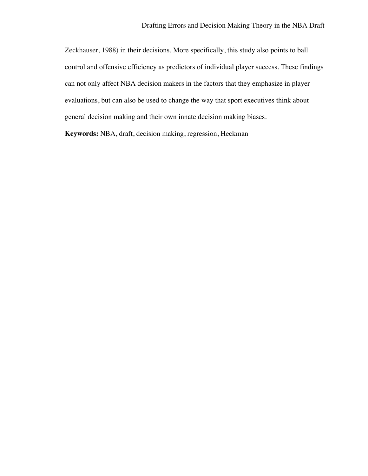Zeckhauser, 1988) in their decisions. More specifically, this study also points to ball control and offensive efficiency as predictors of individual player success. These findings can not only affect NBA decision makers in the factors that they emphasize in player evaluations, but can also be used to change the way that sport executives think about general decision making and their own innate decision making biases.

**Keywords:** NBA, draft, decision making, regression, Heckman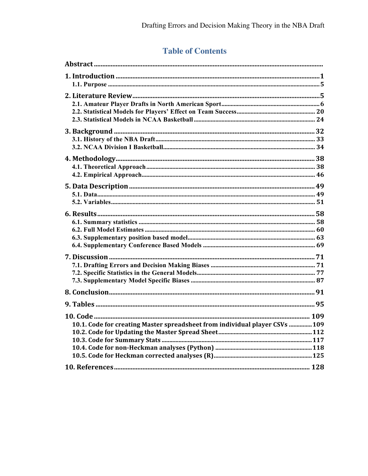# **Table of Contents**

| 10.1. Code for creating Master spreadsheet from individual player CSVs  109 |  |
|-----------------------------------------------------------------------------|--|
|                                                                             |  |
|                                                                             |  |
|                                                                             |  |
|                                                                             |  |
|                                                                             |  |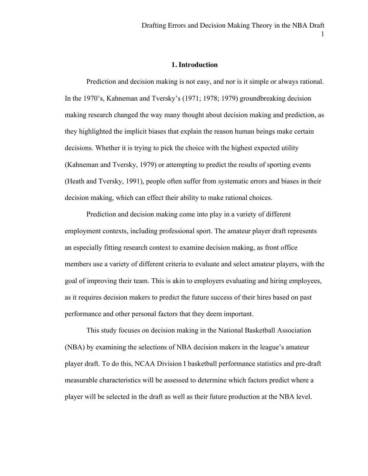### **1. Introduction**

Prediction and decision making is not easy, and nor is it simple or always rational. In the 1970's, Kahneman and Tversky's (1971; 1978; 1979) groundbreaking decision making research changed the way many thought about decision making and prediction, as they highlighted the implicit biases that explain the reason human beings make certain decisions. Whether it is trying to pick the choice with the highest expected utility (Kahneman and Tversky, 1979) or attempting to predict the results of sporting events (Heath and Tversky, 1991), people often suffer from systematic errors and biases in their decision making, which can effect their ability to make rational choices.

Prediction and decision making come into play in a variety of different employment contexts, including professional sport. The amateur player draft represents an especially fitting research context to examine decision making, as front office members use a variety of different criteria to evaluate and select amateur players, with the goal of improving their team. This is akin to employers evaluating and hiring employees, as it requires decision makers to predict the future success of their hires based on past performance and other personal factors that they deem important.

This study focuses on decision making in the National Basketball Association (NBA) by examining the selections of NBA decision makers in the league's amateur player draft. To do this, NCAA Division I basketball performance statistics and pre-draft measurable characteristics will be assessed to determine which factors predict where a player will be selected in the draft as well as their future production at the NBA level.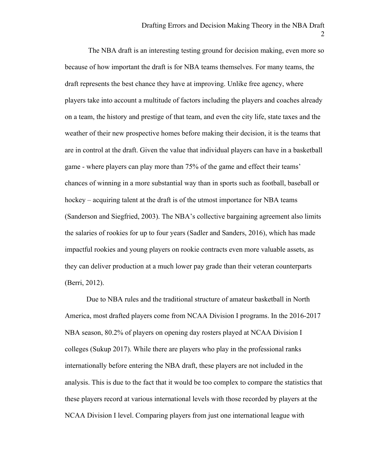The NBA draft is an interesting testing ground for decision making, even more so because of how important the draft is for NBA teams themselves. For many teams, the draft represents the best chance they have at improving. Unlike free agency, where players take into account a multitude of factors including the players and coaches already on a team, the history and prestige of that team, and even the city life, state taxes and the weather of their new prospective homes before making their decision, it is the teams that are in control at the draft. Given the value that individual players can have in a basketball game - where players can play more than 75% of the game and effect their teams' chances of winning in a more substantial way than in sports such as football, baseball or hockey – acquiring talent at the draft is of the utmost importance for NBA teams (Sanderson and Siegfried, 2003). The NBA's collective bargaining agreement also limits the salaries of rookies for up to four years (Sadler and Sanders, 2016), which has made impactful rookies and young players on rookie contracts even more valuable assets, as they can deliver production at a much lower pay grade than their veteran counterparts (Berri, 2012).

Due to NBA rules and the traditional structure of amateur basketball in North America, most drafted players come from NCAA Division I programs. In the 2016-2017 NBA season, 80.2% of players on opening day rosters played at NCAA Division I colleges (Sukup 2017). While there are players who play in the professional ranks internationally before entering the NBA draft, these players are not included in the analysis. This is due to the fact that it would be too complex to compare the statistics that these players record at various international levels with those recorded by players at the NCAA Division I level. Comparing players from just one international league with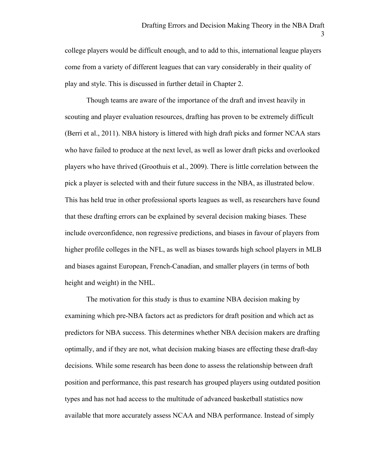college players would be difficult enough, and to add to this, international league players come from a variety of different leagues that can vary considerably in their quality of play and style. This is discussed in further detail in Chapter 2.

Though teams are aware of the importance of the draft and invest heavily in scouting and player evaluation resources, drafting has proven to be extremely difficult (Berri et al., 2011). NBA history is littered with high draft picks and former NCAA stars who have failed to produce at the next level, as well as lower draft picks and overlooked players who have thrived (Groothuis et al., 2009). There is little correlation between the pick a player is selected with and their future success in the NBA, as illustrated below. This has held true in other professional sports leagues as well, as researchers have found that these drafting errors can be explained by several decision making biases. These include overconfidence, non regressive predictions, and biases in favour of players from higher profile colleges in the NFL, as well as biases towards high school players in MLB and biases against European, French-Canadian, and smaller players (in terms of both height and weight) in the NHL.

The motivation for this study is thus to examine NBA decision making by examining which pre-NBA factors act as predictors for draft position and which act as predictors for NBA success. This determines whether NBA decision makers are drafting optimally, and if they are not, what decision making biases are effecting these draft-day decisions. While some research has been done to assess the relationship between draft position and performance, this past research has grouped players using outdated position types and has not had access to the multitude of advanced basketball statistics now available that more accurately assess NCAA and NBA performance. Instead of simply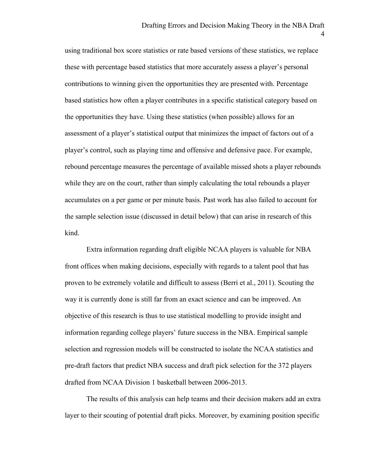using traditional box score statistics or rate based versions of these statistics, we replace these with percentage based statistics that more accurately assess a player's personal contributions to winning given the opportunities they are presented with. Percentage based statistics how often a player contributes in a specific statistical category based on the opportunities they have. Using these statistics (when possible) allows for an assessment of a player's statistical output that minimizes the impact of factors out of a player's control, such as playing time and offensive and defensive pace. For example, rebound percentage measures the percentage of available missed shots a player rebounds while they are on the court, rather than simply calculating the total rebounds a player accumulates on a per game or per minute basis. Past work has also failed to account for the sample selection issue (discussed in detail below) that can arise in research of this kind.

Extra information regarding draft eligible NCAA players is valuable for NBA front offices when making decisions, especially with regards to a talent pool that has proven to be extremely volatile and difficult to assess (Berri et al., 2011). Scouting the way it is currently done is still far from an exact science and can be improved. An objective of this research is thus to use statistical modelling to provide insight and information regarding college players' future success in the NBA. Empirical sample selection and regression models will be constructed to isolate the NCAA statistics and pre-draft factors that predict NBA success and draft pick selection for the 372 players drafted from NCAA Division 1 basketball between 2006-2013.

The results of this analysis can help teams and their decision makers add an extra layer to their scouting of potential draft picks. Moreover, by examining position specific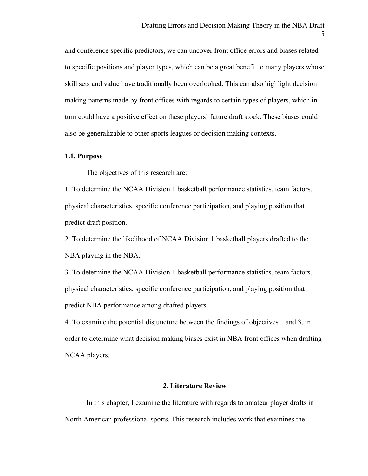and conference specific predictors, we can uncover front office errors and biases related to specific positions and player types, which can be a great benefit to many players whose skill sets and value have traditionally been overlooked. This can also highlight decision making patterns made by front offices with regards to certain types of players, which in turn could have a positive effect on these players' future draft stock. These biases could also be generalizable to other sports leagues or decision making contexts.

## **1.1. Purpose**

The objectives of this research are:

1. To determine the NCAA Division 1 basketball performance statistics, team factors, physical characteristics, specific conference participation, and playing position that predict draft position.

2. To determine the likelihood of NCAA Division 1 basketball players drafted to the NBA playing in the NBA.

3. To determine the NCAA Division 1 basketball performance statistics, team factors, physical characteristics, specific conference participation, and playing position that predict NBA performance among drafted players.

4. To examine the potential disjuncture between the findings of objectives 1 and 3, in order to determine what decision making biases exist in NBA front offices when drafting NCAA players.

## **2. Literature Review**

In this chapter, I examine the literature with regards to amateur player drafts in North American professional sports. This research includes work that examines the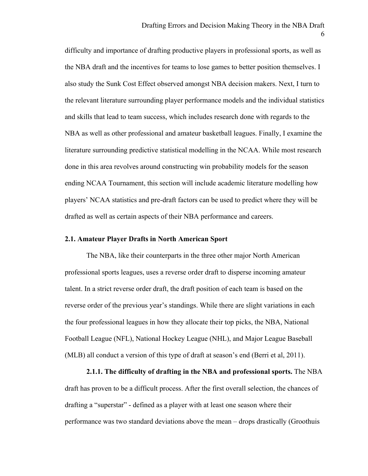difficulty and importance of drafting productive players in professional sports, as well as the NBA draft and the incentives for teams to lose games to better position themselves. I also study the Sunk Cost Effect observed amongst NBA decision makers. Next, I turn to the relevant literature surrounding player performance models and the individual statistics and skills that lead to team success, which includes research done with regards to the NBA as well as other professional and amateur basketball leagues. Finally, I examine the literature surrounding predictive statistical modelling in the NCAA. While most research done in this area revolves around constructing win probability models for the season ending NCAA Tournament, this section will include academic literature modelling how players' NCAA statistics and pre-draft factors can be used to predict where they will be drafted as well as certain aspects of their NBA performance and careers.

## **2.1. Amateur Player Drafts in North American Sport**

The NBA, like their counterparts in the three other major North American professional sports leagues, uses a reverse order draft to disperse incoming amateur talent. In a strict reverse order draft, the draft position of each team is based on the reverse order of the previous year's standings. While there are slight variations in each the four professional leagues in how they allocate their top picks, the NBA, National Football League (NFL), National Hockey League (NHL), and Major League Baseball (MLB) all conduct a version of this type of draft at season's end (Berri et al, 2011).

**2.1.1. The difficulty of drafting in the NBA and professional sports.** The NBA draft has proven to be a difficult process. After the first overall selection, the chances of drafting a "superstar" - defined as a player with at least one season where their performance was two standard deviations above the mean – drops drastically (Groothuis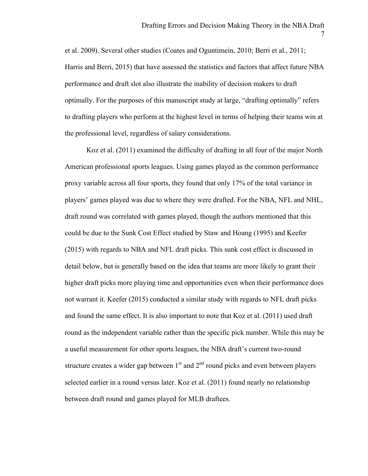et al. 2009). Several other studies (Coates and Oguntimein, 2010; Berri et al., 2011; Harris and Berri, 2015) that have assessed the statistics and factors that affect future NBA performance and draft slot also illustrate the inability of decision makers to draft optimally. For the purposes of this manuscript study at large, "drafting optimally" refers to drafting players who perform at the highest level in terms of helping their teams win at the professional level, regardless of salary considerations.

Koz et al. (2011) examined the difficulty of drafting in all four of the major North American professional sports leagues. Using games played as the common performance proxy variable across all four sports, they found that only 17% of the total variance in players' games played was due to where they were drafted. For the NBA, NFL and NHL, draft round was correlated with games played, though the authors mentioned that this could be due to the Sunk Cost Effect studied by Staw and Hoang (1995) and Keefer (2015) with regards to NBA and NFL draft picks. This sunk cost effect is discussed in detail below, but is generally based on the idea that teams are more likely to grant their higher draft picks more playing time and opportunities even when their performance does not warrant it. Keefer (2015) conducted a similar study with regards to NFL draft picks and found the same effect. It is also important to note that Koz et al. (2011) used draft round as the independent variable rather than the specific pick number. While this may be a useful measurement for other sports leagues, the NBA draft's current two-round structure creates a wider gap between  $1<sup>st</sup>$  and  $2<sup>nd</sup>$  round picks and even between players selected earlier in a round versus later. Koz et al. (2011) found nearly no relationship between draft round and games played for MLB draftees.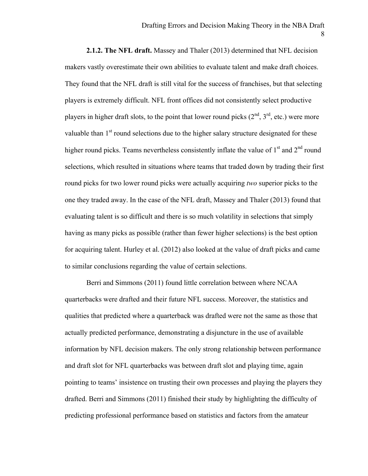8

**2.1.2. The NFL draft.** Massey and Thaler (2013) determined that NFL decision makers vastly overestimate their own abilities to evaluate talent and make draft choices. They found that the NFL draft is still vital for the success of franchises, but that selecting players is extremely difficult. NFL front offices did not consistently select productive players in higher draft slots, to the point that lower round picks  $(2<sup>nd</sup>, 3<sup>rd</sup>, etc.)$  were more valuable than 1<sup>st</sup> round selections due to the higher salary structure designated for these higher round picks. Teams nevertheless consistently inflate the value of  $1<sup>st</sup>$  and  $2<sup>nd</sup>$  round selections, which resulted in situations where teams that traded down by trading their first round picks for two lower round picks were actually acquiring *two* superior picks to the one they traded away. In the case of the NFL draft, Massey and Thaler (2013) found that evaluating talent is so difficult and there is so much volatility in selections that simply having as many picks as possible (rather than fewer higher selections) is the best option for acquiring talent. Hurley et al. (2012) also looked at the value of draft picks and came to similar conclusions regarding the value of certain selections.

Berri and Simmons (2011) found little correlation between where NCAA quarterbacks were drafted and their future NFL success. Moreover, the statistics and qualities that predicted where a quarterback was drafted were not the same as those that actually predicted performance, demonstrating a disjuncture in the use of available information by NFL decision makers. The only strong relationship between performance and draft slot for NFL quarterbacks was between draft slot and playing time, again pointing to teams' insistence on trusting their own processes and playing the players they drafted. Berri and Simmons (2011) finished their study by highlighting the difficulty of predicting professional performance based on statistics and factors from the amateur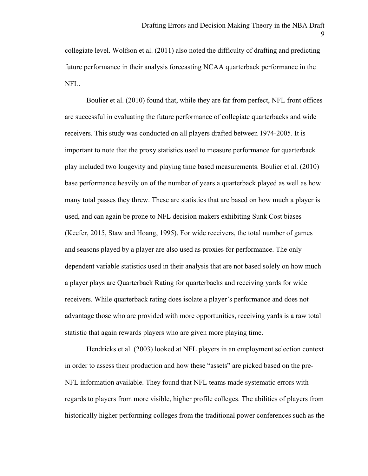collegiate level. Wolfson et al. (2011) also noted the difficulty of drafting and predicting future performance in their analysis forecasting NCAA quarterback performance in the NFL.

Boulier et al. (2010) found that, while they are far from perfect, NFL front offices are successful in evaluating the future performance of collegiate quarterbacks and wide receivers. This study was conducted on all players drafted between 1974-2005. It is important to note that the proxy statistics used to measure performance for quarterback play included two longevity and playing time based measurements. Boulier et al. (2010) base performance heavily on of the number of years a quarterback played as well as how many total passes they threw. These are statistics that are based on how much a player is used, and can again be prone to NFL decision makers exhibiting Sunk Cost biases (Keefer, 2015, Staw and Hoang, 1995). For wide receivers, the total number of games and seasons played by a player are also used as proxies for performance. The only dependent variable statistics used in their analysis that are not based solely on how much a player plays are Quarterback Rating for quarterbacks and receiving yards for wide receivers. While quarterback rating does isolate a player's performance and does not advantage those who are provided with more opportunities, receiving yards is a raw total statistic that again rewards players who are given more playing time.

Hendricks et al. (2003) looked at NFL players in an employment selection context in order to assess their production and how these "assets" are picked based on the pre-NFL information available. They found that NFL teams made systematic errors with regards to players from more visible, higher profile colleges. The abilities of players from historically higher performing colleges from the traditional power conferences such as the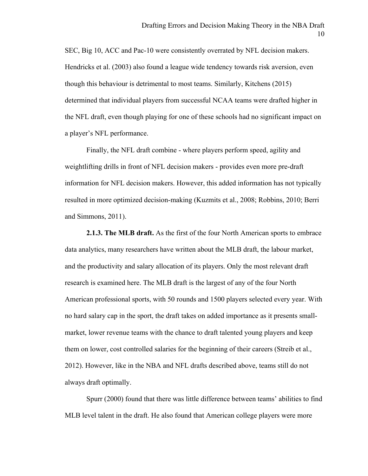SEC, Big 10, ACC and Pac-10 were consistently overrated by NFL decision makers. Hendricks et al. (2003) also found a league wide tendency towards risk aversion, even though this behaviour is detrimental to most teams. Similarly, Kitchens (2015) determined that individual players from successful NCAA teams were drafted higher in the NFL draft, even though playing for one of these schools had no significant impact on a player's NFL performance.

Finally, the NFL draft combine - where players perform speed, agility and weightlifting drills in front of NFL decision makers - provides even more pre-draft information for NFL decision makers. However, this added information has not typically resulted in more optimized decision-making (Kuzmits et al., 2008; Robbins, 2010; Berri and Simmons, 2011).

**2.1.3. The MLB draft.** As the first of the four North American sports to embrace data analytics, many researchers have written about the MLB draft, the labour market, and the productivity and salary allocation of its players. Only the most relevant draft research is examined here. The MLB draft is the largest of any of the four North American professional sports, with 50 rounds and 1500 players selected every year. With no hard salary cap in the sport, the draft takes on added importance as it presents smallmarket, lower revenue teams with the chance to draft talented young players and keep them on lower, cost controlled salaries for the beginning of their careers (Streib et al., 2012). However, like in the NBA and NFL drafts described above, teams still do not always draft optimally.

Spurr (2000) found that there was little difference between teams' abilities to find MLB level talent in the draft. He also found that American college players were more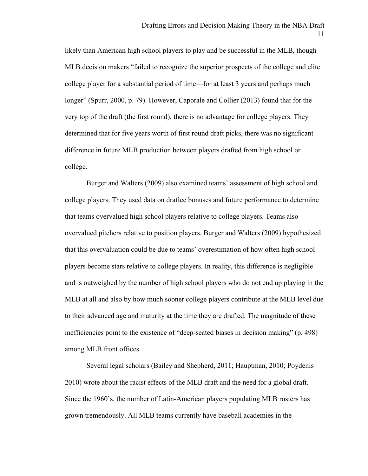likely than American high school players to play and be successful in the MLB, though MLB decision makers "failed to recognize the superior prospects of the college and elite college player for a substantial period of time—for at least 3 years and perhaps much longer" (Spurr, 2000, p. 79). However, Caporale and Collier (2013) found that for the very top of the draft (the first round), there is no advantage for college players. They determined that for five years worth of first round draft picks, there was no significant difference in future MLB production between players drafted from high school or college.

Burger and Walters (2009) also examined teams' assessment of high school and college players. They used data on draftee bonuses and future performance to determine that teams overvalued high school players relative to college players. Teams also overvalued pitchers relative to position players. Burger and Walters (2009) hypothesized that this overvaluation could be due to teams' overestimation of how often high school players become stars relative to college players. In reality, this difference is negligible and is outweighed by the number of high school players who do not end up playing in the MLB at all and also by how much sooner college players contribute at the MLB level due to their advanced age and maturity at the time they are drafted. The magnitude of these inefficiencies point to the existence of "deep-seated biases in decision making" (p. 498) among MLB front offices.

Several legal scholars (Bailey and Shepherd, 2011; Hauptman, 2010; Poydenis 2010) wrote about the racist effects of the MLB draft and the need for a global draft. Since the 1960's, the number of Latin-American players populating MLB rosters has grown tremendously. All MLB teams currently have baseball academies in the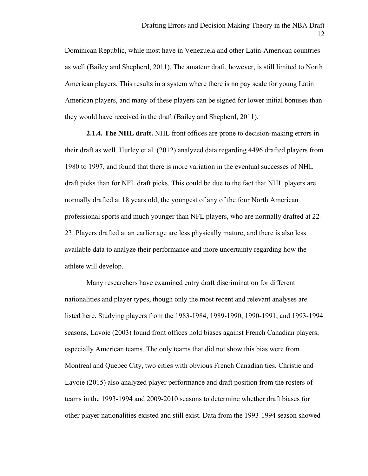Dominican Republic, while most have in Venezuela and other Latin-American countries as well (Bailey and Shepherd, 2011). The amateur draft, however, is still limited to North American players. This results in a system where there is no pay scale for young Latin American players, and many of these players can be signed for lower initial bonuses than they would have received in the draft (Bailey and Shepherd, 2011).

**2.1.4. The NHL draft.** NHL front offices are prone to decision-making errors in their draft as well. Hurley et al. (2012) analyzed data regarding 4496 drafted players from 1980 to 1997, and found that there is more variation in the eventual successes of NHL draft picks than for NFL draft picks. This could be due to the fact that NHL players are normally drafted at 18 years old, the youngest of any of the four North American professional sports and much younger than NFL players, who are normally drafted at 22- 23. Players drafted at an earlier age are less physically mature, and there is also less available data to analyze their performance and more uncertainty regarding how the athlete will develop.

Many researchers have examined entry draft discrimination for different nationalities and player types, though only the most recent and relevant analyses are listed here. Studying players from the 1983-1984, 1989-1990, 1990-1991, and 1993-1994 seasons, Lavoie (2003) found front offices hold biases against French Canadian players, especially American teams. The only teams that did not show this bias were from Montreal and Quebec City, two cities with obvious French Canadian ties. Christie and Lavoie (2015) also analyzed player performance and draft position from the rosters of teams in the 1993-1994 and 2009-2010 seasons to determine whether draft biases for other player nationalities existed and still exist. Data from the 1993-1994 season showed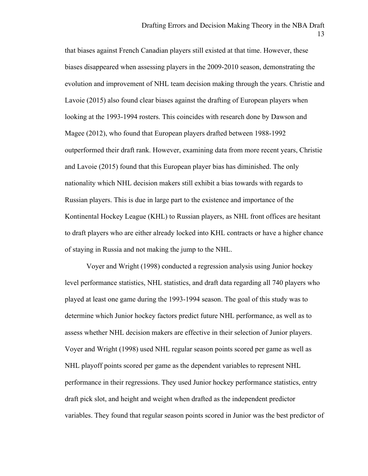that biases against French Canadian players still existed at that time. However, these biases disappeared when assessing players in the 2009-2010 season, demonstrating the evolution and improvement of NHL team decision making through the years. Christie and Lavoie (2015) also found clear biases against the drafting of European players when looking at the 1993-1994 rosters. This coincides with research done by Dawson and Magee (2012), who found that European players drafted between 1988-1992 outperformed their draft rank. However, examining data from more recent years, Christie and Lavoie (2015) found that this European player bias has diminished. The only nationality which NHL decision makers still exhibit a bias towards with regards to Russian players. This is due in large part to the existence and importance of the Kontinental Hockey League (KHL) to Russian players, as NHL front offices are hesitant to draft players who are either already locked into KHL contracts or have a higher chance of staying in Russia and not making the jump to the NHL.

Voyer and Wright (1998) conducted a regression analysis using Junior hockey level performance statistics, NHL statistics, and draft data regarding all 740 players who played at least one game during the 1993-1994 season. The goal of this study was to determine which Junior hockey factors predict future NHL performance, as well as to assess whether NHL decision makers are effective in their selection of Junior players. Voyer and Wright (1998) used NHL regular season points scored per game as well as NHL playoff points scored per game as the dependent variables to represent NHL performance in their regressions. They used Junior hockey performance statistics, entry draft pick slot, and height and weight when drafted as the independent predictor variables. They found that regular season points scored in Junior was the best predictor of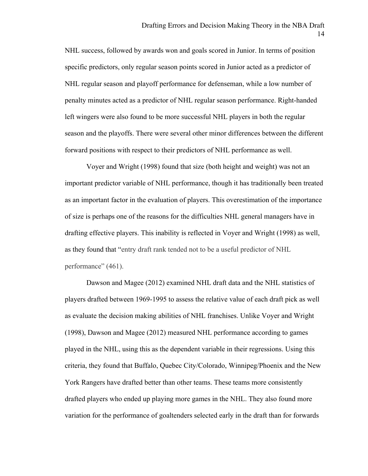NHL success, followed by awards won and goals scored in Junior. In terms of position specific predictors, only regular season points scored in Junior acted as a predictor of NHL regular season and playoff performance for defenseman, while a low number of penalty minutes acted as a predictor of NHL regular season performance. Right-handed left wingers were also found to be more successful NHL players in both the regular season and the playoffs. There were several other minor differences between the different forward positions with respect to their predictors of NHL performance as well.

Voyer and Wright (1998) found that size (both height and weight) was not an important predictor variable of NHL performance, though it has traditionally been treated as an important factor in the evaluation of players. This overestimation of the importance of size is perhaps one of the reasons for the difficulties NHL general managers have in drafting effective players. This inability is reflected in Voyer and Wright (1998) as well, as they found that "entry draft rank tended not to be a useful predictor of NHL performance" (461).

Dawson and Magee (2012) examined NHL draft data and the NHL statistics of players drafted between 1969-1995 to assess the relative value of each draft pick as well as evaluate the decision making abilities of NHL franchises. Unlike Voyer and Wright (1998), Dawson and Magee (2012) measured NHL performance according to games played in the NHL, using this as the dependent variable in their regressions. Using this criteria, they found that Buffalo, Quebec City/Colorado, Winnipeg/Phoenix and the New York Rangers have drafted better than other teams. These teams more consistently drafted players who ended up playing more games in the NHL. They also found more variation for the performance of goaltenders selected early in the draft than for forwards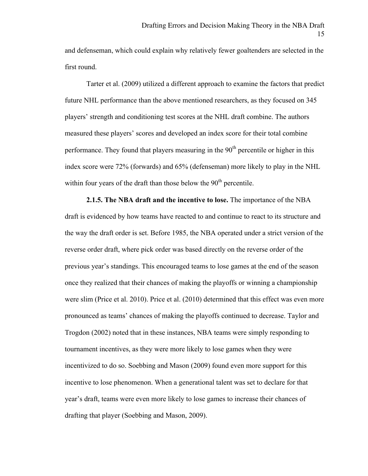and defenseman, which could explain why relatively fewer goaltenders are selected in the first round.

Tarter et al. (2009) utilized a different approach to examine the factors that predict future NHL performance than the above mentioned researchers, as they focused on 345 players' strength and conditioning test scores at the NHL draft combine. The authors measured these players' scores and developed an index score for their total combine performance. They found that players measuring in the  $90<sup>th</sup>$  percentile or higher in this index score were 72% (forwards) and 65% (defenseman) more likely to play in the NHL within four years of the draft than those below the  $90<sup>th</sup>$  percentile.

**2.1.5. The NBA draft and the incentive to lose.** The importance of the NBA draft is evidenced by how teams have reacted to and continue to react to its structure and the way the draft order is set. Before 1985, the NBA operated under a strict version of the reverse order draft, where pick order was based directly on the reverse order of the previous year's standings. This encouraged teams to lose games at the end of the season once they realized that their chances of making the playoffs or winning a championship were slim (Price et al. 2010). Price et al. (2010) determined that this effect was even more pronounced as teams' chances of making the playoffs continued to decrease. Taylor and Trogdon (2002) noted that in these instances, NBA teams were simply responding to tournament incentives, as they were more likely to lose games when they were incentivized to do so. Soebbing and Mason (2009) found even more support for this incentive to lose phenomenon. When a generational talent was set to declare for that year's draft, teams were even more likely to lose games to increase their chances of drafting that player (Soebbing and Mason, 2009).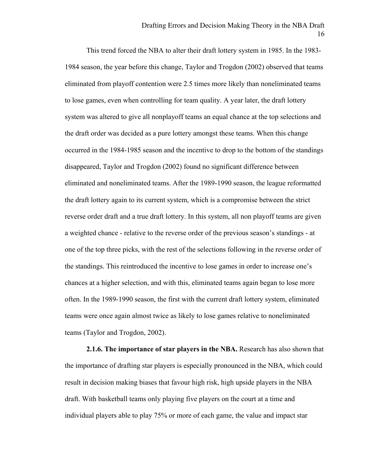This trend forced the NBA to alter their draft lottery system in 1985. In the 1983- 1984 season, the year before this change, Taylor and Trogdon (2002) observed that teams eliminated from playoff contention were 2.5 times more likely than noneliminated teams to lose games, even when controlling for team quality. A year later, the draft lottery system was altered to give all nonplayoff teams an equal chance at the top selections and the draft order was decided as a pure lottery amongst these teams. When this change occurred in the 1984-1985 season and the incentive to drop to the bottom of the standings disappeared, Taylor and Trogdon (2002) found no significant difference between eliminated and noneliminated teams. After the 1989-1990 season, the league reformatted the draft lottery again to its current system, which is a compromise between the strict reverse order draft and a true draft lottery. In this system, all non playoff teams are given a weighted chance - relative to the reverse order of the previous season's standings - at one of the top three picks, with the rest of the selections following in the reverse order of the standings. This reintroduced the incentive to lose games in order to increase one's chances at a higher selection, and with this, eliminated teams again began to lose more often. In the 1989-1990 season, the first with the current draft lottery system, eliminated teams were once again almost twice as likely to lose games relative to noneliminated teams (Taylor and Trogdon, 2002).

**2.1.6. The importance of star players in the NBA.** Research has also shown that the importance of drafting star players is especially pronounced in the NBA, which could result in decision making biases that favour high risk, high upside players in the NBA draft. With basketball teams only playing five players on the court at a time and individual players able to play 75% or more of each game, the value and impact star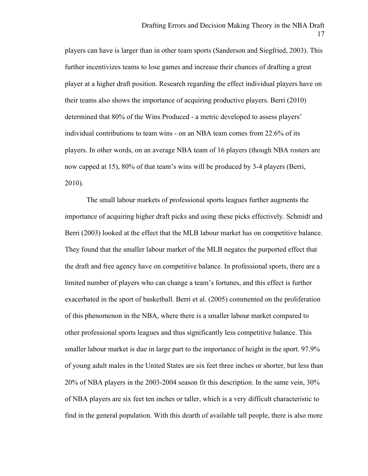players can have is larger than in other team sports (Sanderson and Siegfried, 2003). This further incentivizes teams to lose games and increase their chances of drafting a great player at a higher draft position. Research regarding the effect individual players have on their teams also shows the importance of acquiring productive players. Berri (2010) determined that 80% of the Wins Produced - a metric developed to assess players' individual contributions to team wins - on an NBA team comes from 22.6% of its players. In other words, on an average NBA team of 16 players (though NBA rosters are now capped at 15), 80% of that team's wins will be produced by 3-4 players (Berri, 2010).

The small labour markets of professional sports leagues further augments the importance of acquiring higher draft picks and using these picks effectively. Schmidt and Berri (2003) looked at the effect that the MLB labour market has on competitive balance. They found that the smaller labour market of the MLB negates the purported effect that the draft and free agency have on competitive balance. In professional sports, there are a limited number of players who can change a team's fortunes, and this effect is further exacerbated in the sport of basketball. Berri et al. (2005) commented on the proliferation of this phenomenon in the NBA, where there is a smaller labour market compared to other professional sports leagues and thus significantly less competitive balance. This smaller labour market is due in large part to the importance of height in the sport. 97.9% of young adult males in the United States are six feet three inches or shorter, but less than 20% of NBA players in the 2003-2004 season fit this description. In the same vein, 30% of NBA players are six feet ten inches or taller, which is a very difficult characteristic to find in the general population. With this dearth of available tall people, there is also more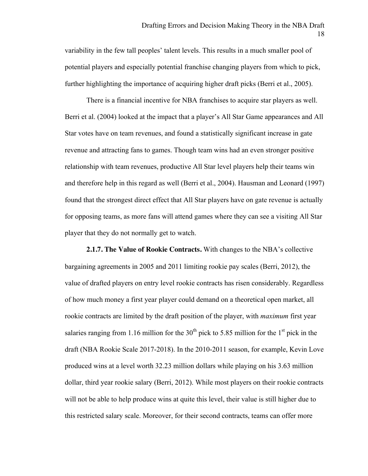variability in the few tall peoples' talent levels. This results in a much smaller pool of potential players and especially potential franchise changing players from which to pick, further highlighting the importance of acquiring higher draft picks (Berri et al., 2005).

There is a financial incentive for NBA franchises to acquire star players as well. Berri et al. (2004) looked at the impact that a player's All Star Game appearances and All Star votes have on team revenues, and found a statistically significant increase in gate revenue and attracting fans to games. Though team wins had an even stronger positive relationship with team revenues, productive All Star level players help their teams win and therefore help in this regard as well (Berri et al., 2004). Hausman and Leonard (1997) found that the strongest direct effect that All Star players have on gate revenue is actually for opposing teams, as more fans will attend games where they can see a visiting All Star player that they do not normally get to watch.

**2.1.7. The Value of Rookie Contracts.** With changes to the NBA's collective bargaining agreements in 2005 and 2011 limiting rookie pay scales (Berri, 2012), the value of drafted players on entry level rookie contracts has risen considerably. Regardless of how much money a first year player could demand on a theoretical open market, all rookie contracts are limited by the draft position of the player, with *maximum* first year salaries ranging from 1.16 million for the  $30<sup>th</sup>$  pick to 5.85 million for the 1<sup>st</sup> pick in the draft (NBA Rookie Scale 2017-2018). In the 2010-2011 season, for example, Kevin Love produced wins at a level worth 32.23 million dollars while playing on his 3.63 million dollar, third year rookie salary (Berri, 2012). While most players on their rookie contracts will not be able to help produce wins at quite this level, their value is still higher due to this restricted salary scale. Moreover, for their second contracts, teams can offer more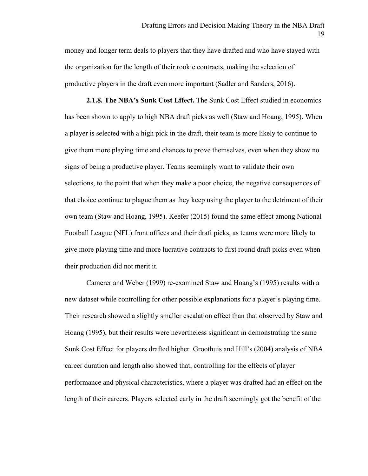money and longer term deals to players that they have drafted and who have stayed with the organization for the length of their rookie contracts, making the selection of productive players in the draft even more important (Sadler and Sanders, 2016).

**2.1.8. The NBA's Sunk Cost Effect.** The Sunk Cost Effect studied in economics has been shown to apply to high NBA draft picks as well (Staw and Hoang, 1995). When a player is selected with a high pick in the draft, their team is more likely to continue to give them more playing time and chances to prove themselves, even when they show no signs of being a productive player. Teams seemingly want to validate their own selections, to the point that when they make a poor choice, the negative consequences of that choice continue to plague them as they keep using the player to the detriment of their own team (Staw and Hoang, 1995). Keefer (2015) found the same effect among National Football League (NFL) front offices and their draft picks, as teams were more likely to give more playing time and more lucrative contracts to first round draft picks even when their production did not merit it.

Camerer and Weber (1999) re-examined Staw and Hoang's (1995) results with a new dataset while controlling for other possible explanations for a player's playing time. Their research showed a slightly smaller escalation effect than that observed by Staw and Hoang (1995), but their results were nevertheless significant in demonstrating the same Sunk Cost Effect for players drafted higher. Groothuis and Hill's (2004) analysis of NBA career duration and length also showed that, controlling for the effects of player performance and physical characteristics, where a player was drafted had an effect on the length of their careers. Players selected early in the draft seemingly got the benefit of the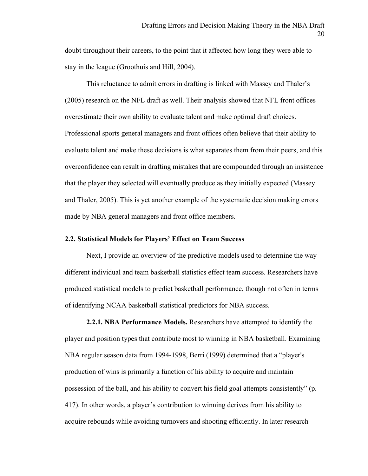doubt throughout their careers, to the point that it affected how long they were able to stay in the league (Groothuis and Hill, 2004).

This reluctance to admit errors in drafting is linked with Massey and Thaler's (2005) research on the NFL draft as well. Their analysis showed that NFL front offices overestimate their own ability to evaluate talent and make optimal draft choices. Professional sports general managers and front offices often believe that their ability to evaluate talent and make these decisions is what separates them from their peers, and this overconfidence can result in drafting mistakes that are compounded through an insistence that the player they selected will eventually produce as they initially expected (Massey and Thaler, 2005). This is yet another example of the systematic decision making errors made by NBA general managers and front office members.

# **2.2. Statistical Models for Players' Effect on Team Success**

Next, I provide an overview of the predictive models used to determine the way different individual and team basketball statistics effect team success. Researchers have produced statistical models to predict basketball performance, though not often in terms of identifying NCAA basketball statistical predictors for NBA success.

**2.2.1. NBA Performance Models.** Researchers have attempted to identify the player and position types that contribute most to winning in NBA basketball. Examining NBA regular season data from 1994-1998, Berri (1999) determined that a "player's production of wins is primarily a function of his ability to acquire and maintain possession of the ball, and his ability to convert his field goal attempts consistently" (p. 417). In other words, a player's contribution to winning derives from his ability to acquire rebounds while avoiding turnovers and shooting efficiently. In later research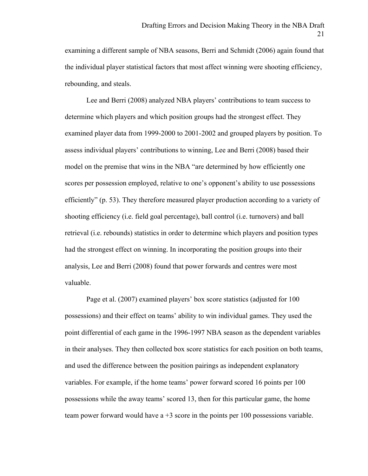examining a different sample of NBA seasons, Berri and Schmidt (2006) again found that the individual player statistical factors that most affect winning were shooting efficiency, rebounding, and steals.

Lee and Berri (2008) analyzed NBA players' contributions to team success to determine which players and which position groups had the strongest effect. They examined player data from 1999-2000 to 2001-2002 and grouped players by position. To assess individual players' contributions to winning, Lee and Berri (2008) based their model on the premise that wins in the NBA "are determined by how efficiently one scores per possession employed, relative to one's opponent's ability to use possessions efficiently" (p. 53). They therefore measured player production according to a variety of shooting efficiency (i.e. field goal percentage), ball control (i.e. turnovers) and ball retrieval (i.e. rebounds) statistics in order to determine which players and position types had the strongest effect on winning. In incorporating the position groups into their analysis, Lee and Berri (2008) found that power forwards and centres were most valuable.

Page et al. (2007) examined players' box score statistics (adjusted for 100 possessions) and their effect on teams' ability to win individual games. They used the point differential of each game in the 1996-1997 NBA season as the dependent variables in their analyses. They then collected box score statistics for each position on both teams, and used the difference between the position pairings as independent explanatory variables. For example, if the home teams' power forward scored 16 points per 100 possessions while the away teams' scored 13, then for this particular game, the home team power forward would have  $a + 3$  score in the points per 100 possessions variable.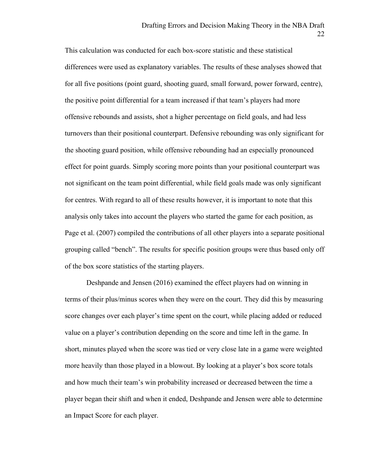This calculation was conducted for each box-score statistic and these statistical differences were used as explanatory variables. The results of these analyses showed that for all five positions (point guard, shooting guard, small forward, power forward, centre), the positive point differential for a team increased if that team's players had more offensive rebounds and assists, shot a higher percentage on field goals, and had less turnovers than their positional counterpart. Defensive rebounding was only significant for the shooting guard position, while offensive rebounding had an especially pronounced effect for point guards. Simply scoring more points than your positional counterpart was not significant on the team point differential, while field goals made was only significant for centres. With regard to all of these results however, it is important to note that this analysis only takes into account the players who started the game for each position, as Page et al. (2007) compiled the contributions of all other players into a separate positional grouping called "bench". The results for specific position groups were thus based only off of the box score statistics of the starting players.

Deshpande and Jensen (2016) examined the effect players had on winning in terms of their plus/minus scores when they were on the court. They did this by measuring score changes over each player's time spent on the court, while placing added or reduced value on a player's contribution depending on the score and time left in the game. In short, minutes played when the score was tied or very close late in a game were weighted more heavily than those played in a blowout. By looking at a player's box score totals and how much their team's win probability increased or decreased between the time a player began their shift and when it ended, Deshpande and Jensen were able to determine an Impact Score for each player.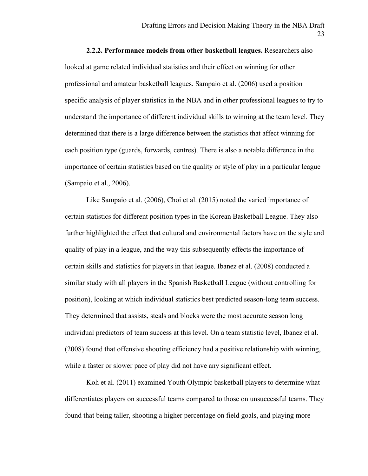**2.2.2. Performance models from other basketball leagues.** Researchers also looked at game related individual statistics and their effect on winning for other professional and amateur basketball leagues. Sampaio et al. (2006) used a position specific analysis of player statistics in the NBA and in other professional leagues to try to understand the importance of different individual skills to winning at the team level. They determined that there is a large difference between the statistics that affect winning for each position type (guards, forwards, centres). There is also a notable difference in the importance of certain statistics based on the quality or style of play in a particular league (Sampaio et al., 2006).

Like Sampaio et al. (2006), Choi et al. (2015) noted the varied importance of certain statistics for different position types in the Korean Basketball League. They also further highlighted the effect that cultural and environmental factors have on the style and quality of play in a league, and the way this subsequently effects the importance of certain skills and statistics for players in that league. Ibanez et al. (2008) conducted a similar study with all players in the Spanish Basketball League (without controlling for position), looking at which individual statistics best predicted season-long team success. They determined that assists, steals and blocks were the most accurate season long individual predictors of team success at this level. On a team statistic level, Ibanez et al. (2008) found that offensive shooting efficiency had a positive relationship with winning, while a faster or slower pace of play did not have any significant effect.

Koh et al. (2011) examined Youth Olympic basketball players to determine what differentiates players on successful teams compared to those on unsuccessful teams. They found that being taller, shooting a higher percentage on field goals, and playing more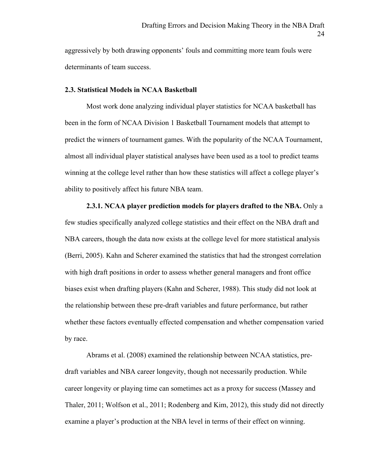aggressively by both drawing opponents' fouls and committing more team fouls were determinants of team success.

# **2.3. Statistical Models in NCAA Basketball**

Most work done analyzing individual player statistics for NCAA basketball has been in the form of NCAA Division 1 Basketball Tournament models that attempt to predict the winners of tournament games. With the popularity of the NCAA Tournament, almost all individual player statistical analyses have been used as a tool to predict teams winning at the college level rather than how these statistics will affect a college player's ability to positively affect his future NBA team.

**2.3.1. NCAA player prediction models for players drafted to the NBA.** Only a few studies specifically analyzed college statistics and their effect on the NBA draft and NBA careers, though the data now exists at the college level for more statistical analysis (Berri, 2005). Kahn and Scherer examined the statistics that had the strongest correlation with high draft positions in order to assess whether general managers and front office biases exist when drafting players (Kahn and Scherer, 1988). This study did not look at the relationship between these pre-draft variables and future performance, but rather whether these factors eventually effected compensation and whether compensation varied by race.

Abrams et al. (2008) examined the relationship between NCAA statistics, predraft variables and NBA career longevity, though not necessarily production. While career longevity or playing time can sometimes act as a proxy for success (Massey and Thaler, 2011; Wolfson et al., 2011; Rodenberg and Kim, 2012), this study did not directly examine a player's production at the NBA level in terms of their effect on winning.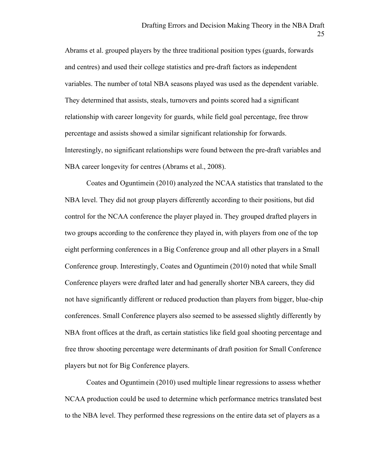Abrams et al. grouped players by the three traditional position types (guards, forwards and centres) and used their college statistics and pre-draft factors as independent variables. The number of total NBA seasons played was used as the dependent variable. They determined that assists, steals, turnovers and points scored had a significant relationship with career longevity for guards, while field goal percentage, free throw percentage and assists showed a similar significant relationship for forwards. Interestingly, no significant relationships were found between the pre-draft variables and NBA career longevity for centres (Abrams et al., 2008).

Coates and Oguntimein (2010) analyzed the NCAA statistics that translated to the NBA level. They did not group players differently according to their positions, but did control for the NCAA conference the player played in. They grouped drafted players in two groups according to the conference they played in, with players from one of the top eight performing conferences in a Big Conference group and all other players in a Small Conference group. Interestingly, Coates and Oguntimein (2010) noted that while Small Conference players were drafted later and had generally shorter NBA careers, they did not have significantly different or reduced production than players from bigger, blue-chip conferences. Small Conference players also seemed to be assessed slightly differently by NBA front offices at the draft, as certain statistics like field goal shooting percentage and free throw shooting percentage were determinants of draft position for Small Conference players but not for Big Conference players.

Coates and Oguntimein (2010) used multiple linear regressions to assess whether NCAA production could be used to determine which performance metrics translated best to the NBA level. They performed these regressions on the entire data set of players as a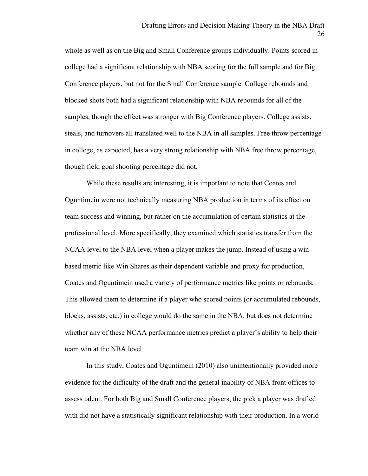whole as well as on the Big and Small Conference groups individually. Points scored in college had a significant relationship with NBA scoring for the full sample and for Big Conference players, but not for the Small Conference sample. College rebounds and blocked shots both had a significant relationship with NBA rebounds for all of the samples, though the effect was stronger with Big Conference players. College assists, steals, and turnovers all translated well to the NBA in all samples. Free throw percentage in college, as expected, has a very strong relationship with NBA free throw percentage, though field goal shooting percentage did not.

While these results are interesting, it is important to note that Coates and Oguntimein were not technically measuring NBA production in terms of its effect on team success and winning, but rather on the accumulation of certain statistics at the professional level. More specifically, they examined which statistics transfer from the NCAA level to the NBA level when a player makes the jump. Instead of using a winbased metric like Win Shares as their dependent variable and proxy for production, Coates and Oguntimein used a variety of performance metrics like points or rebounds. This allowed them to determine if a player who scored points (or accumulated rebounds, blocks, assists, etc.) in college would do the same in the NBA, but does not determine whether any of these NCAA performance metrics predict a player's ability to help their team win at the NBA level.

In this study, Coates and Oguntimein (2010) also unintentionally provided more evidence for the difficulty of the draft and the general inability of NBA front offices to assess talent. For both Big and Small Conference players, the pick a player was drafted with did not have a statistically significant relationship with their production. In a world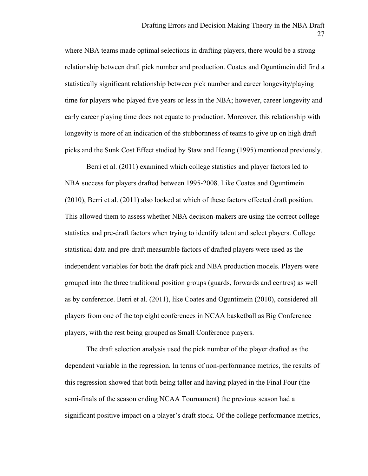where NBA teams made optimal selections in drafting players, there would be a strong relationship between draft pick number and production. Coates and Oguntimein did find a statistically significant relationship between pick number and career longevity/playing time for players who played five years or less in the NBA; however, career longevity and early career playing time does not equate to production. Moreover, this relationship with longevity is more of an indication of the stubbornness of teams to give up on high draft picks and the Sunk Cost Effect studied by Staw and Hoang (1995) mentioned previously.

Berri et al. (2011) examined which college statistics and player factors led to NBA success for players drafted between 1995-2008. Like Coates and Oguntimein (2010), Berri et al. (2011) also looked at which of these factors effected draft position. This allowed them to assess whether NBA decision-makers are using the correct college statistics and pre-draft factors when trying to identify talent and select players. College statistical data and pre-draft measurable factors of drafted players were used as the independent variables for both the draft pick and NBA production models. Players were grouped into the three traditional position groups (guards, forwards and centres) as well as by conference. Berri et al. (2011), like Coates and Oguntimein (2010), considered all players from one of the top eight conferences in NCAA basketball as Big Conference players, with the rest being grouped as Small Conference players.

The draft selection analysis used the pick number of the player drafted as the dependent variable in the regression. In terms of non-performance metrics, the results of this regression showed that both being taller and having played in the Final Four (the semi-finals of the season ending NCAA Tournament) the previous season had a significant positive impact on a player's draft stock. Of the college performance metrics,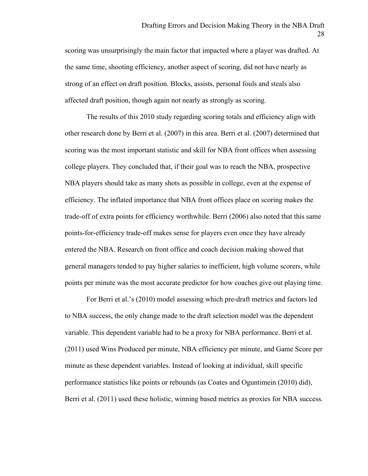scoring was unsurprisingly the main factor that impacted where a player was drafted. At the same time, shooting efficiency, another aspect of scoring, did not have nearly as strong of an effect on draft position. Blocks, assists, personal fouls and steals also affected draft position, though again not nearly as strongly as scoring.

The results of this 2010 study regarding scoring totals and efficiency align with other research done by Berri et al. (2007) in this area. Berri et al. (2007) determined that scoring was the most important statistic and skill for NBA front offices when assessing college players. They concluded that, if their goal was to reach the NBA, prospective NBA players should take as many shots as possible in college, even at the expense of efficiency. The inflated importance that NBA front offices place on scoring makes the trade-off of extra points for efficiency worthwhile. Berri (2006) also noted that this same points-for-efficiency trade-off makes sense for players even once they have already entered the NBA. Research on front office and coach decision making showed that general managers tended to pay higher salaries to inefficient, high volume scorers, while points per minute was the most accurate predictor for how coaches give out playing time.

For Berri et al.'s (2010) model assessing which pre-draft metrics and factors led to NBA success, the only change made to the draft selection model was the dependent variable. This dependent variable had to be a proxy for NBA performance. Berri et al. (2011) used Wins Produced per minute, NBA efficiency per minute, and Game Score per minute as these dependent variables. Instead of looking at individual, skill specific performance statistics like points or rebounds (as Coates and Oguntimein (2010) did), Berri et al. (2011) used these holistic, winning based metrics as proxies for NBA success.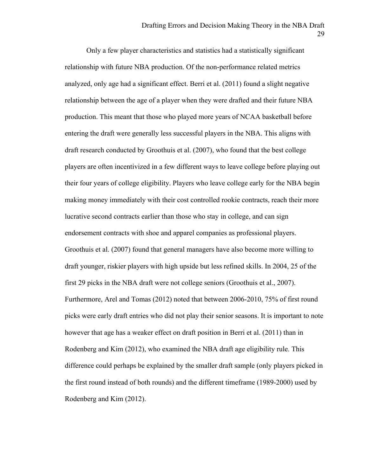Only a few player characteristics and statistics had a statistically significant relationship with future NBA production. Of the non-performance related metrics analyzed, only age had a significant effect. Berri et al. (2011) found a slight negative relationship between the age of a player when they were drafted and their future NBA production. This meant that those who played more years of NCAA basketball before entering the draft were generally less successful players in the NBA. This aligns with draft research conducted by Groothuis et al. (2007), who found that the best college players are often incentivized in a few different ways to leave college before playing out their four years of college eligibility. Players who leave college early for the NBA begin making money immediately with their cost controlled rookie contracts, reach their more lucrative second contracts earlier than those who stay in college, and can sign endorsement contracts with shoe and apparel companies as professional players. Groothuis et al. (2007) found that general managers have also become more willing to draft younger, riskier players with high upside but less refined skills. In 2004, 25 of the first 29 picks in the NBA draft were not college seniors (Groothuis et al., 2007). Furthermore, Arel and Tomas (2012) noted that between 2006-2010, 75% of first round picks were early draft entries who did not play their senior seasons. It is important to note however that age has a weaker effect on draft position in Berri et al. (2011) than in Rodenberg and Kim (2012), who examined the NBA draft age eligibility rule. This difference could perhaps be explained by the smaller draft sample (only players picked in the first round instead of both rounds) and the different timeframe (1989-2000) used by Rodenberg and Kim (2012).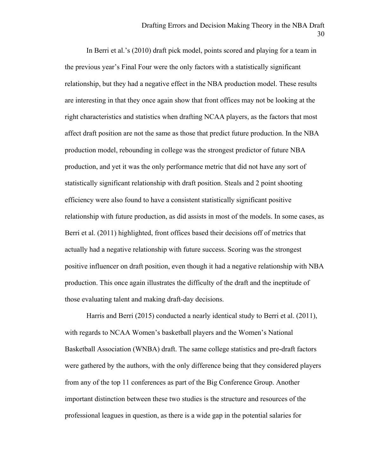In Berri et al.'s (2010) draft pick model, points scored and playing for a team in the previous year's Final Four were the only factors with a statistically significant relationship, but they had a negative effect in the NBA production model. These results are interesting in that they once again show that front offices may not be looking at the right characteristics and statistics when drafting NCAA players, as the factors that most affect draft position are not the same as those that predict future production. In the NBA production model, rebounding in college was the strongest predictor of future NBA production, and yet it was the only performance metric that did not have any sort of statistically significant relationship with draft position. Steals and 2 point shooting efficiency were also found to have a consistent statistically significant positive relationship with future production, as did assists in most of the models. In some cases, as Berri et al. (2011) highlighted, front offices based their decisions off of metrics that actually had a negative relationship with future success. Scoring was the strongest positive influencer on draft position, even though it had a negative relationship with NBA production. This once again illustrates the difficulty of the draft and the ineptitude of those evaluating talent and making draft-day decisions.

Harris and Berri (2015) conducted a nearly identical study to Berri et al. (2011), with regards to NCAA Women's basketball players and the Women's National Basketball Association (WNBA) draft. The same college statistics and pre-draft factors were gathered by the authors, with the only difference being that they considered players from any of the top 11 conferences as part of the Big Conference Group. Another important distinction between these two studies is the structure and resources of the professional leagues in question, as there is a wide gap in the potential salaries for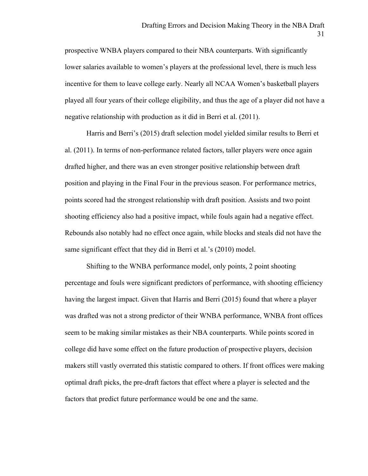prospective WNBA players compared to their NBA counterparts. With significantly lower salaries available to women's players at the professional level, there is much less incentive for them to leave college early. Nearly all NCAA Women's basketball players played all four years of their college eligibility, and thus the age of a player did not have a negative relationship with production as it did in Berri et al. (2011).

Harris and Berri's (2015) draft selection model yielded similar results to Berri et al. (2011). In terms of non-performance related factors, taller players were once again drafted higher, and there was an even stronger positive relationship between draft position and playing in the Final Four in the previous season. For performance metrics, points scored had the strongest relationship with draft position. Assists and two point shooting efficiency also had a positive impact, while fouls again had a negative effect. Rebounds also notably had no effect once again, while blocks and steals did not have the same significant effect that they did in Berri et al.'s (2010) model.

Shifting to the WNBA performance model, only points, 2 point shooting percentage and fouls were significant predictors of performance, with shooting efficiency having the largest impact. Given that Harris and Berri (2015) found that where a player was drafted was not a strong predictor of their WNBA performance, WNBA front offices seem to be making similar mistakes as their NBA counterparts. While points scored in college did have some effect on the future production of prospective players, decision makers still vastly overrated this statistic compared to others. If front offices were making optimal draft picks, the pre-draft factors that effect where a player is selected and the factors that predict future performance would be one and the same.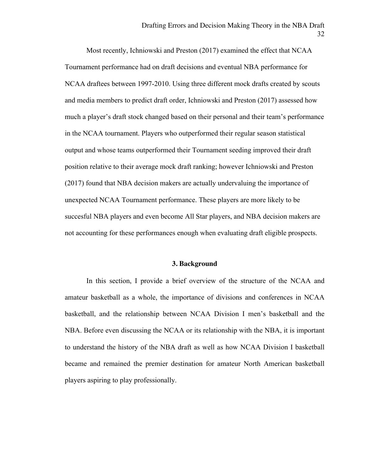Most recently, Ichniowski and Preston (2017) examined the effect that NCAA Tournament performance had on draft decisions and eventual NBA performance for NCAA draftees between 1997-2010. Using three different mock drafts created by scouts and media members to predict draft order, Ichniowski and Preston (2017) assessed how much a player's draft stock changed based on their personal and their team's performance in the NCAA tournament. Players who outperformed their regular season statistical output and whose teams outperformed their Tournament seeding improved their draft position relative to their average mock draft ranking; however Ichniowski and Preston (2017) found that NBA decision makers are actually undervaluing the importance of unexpected NCAA Tournament performance. These players are more likely to be succesful NBA players and even become All Star players, and NBA decision makers are not accounting for these performances enough when evaluating draft eligible prospects.

### **3. Background**

In this section, I provide a brief overview of the structure of the NCAA and amateur basketball as a whole, the importance of divisions and conferences in NCAA basketball, and the relationship between NCAA Division I men's basketball and the NBA. Before even discussing the NCAA or its relationship with the NBA, it is important to understand the history of the NBA draft as well as how NCAA Division I basketball became and remained the premier destination for amateur North American basketball players aspiring to play professionally.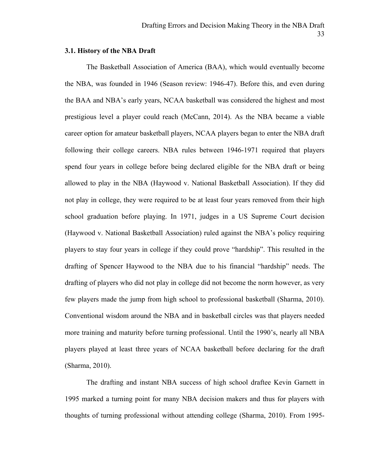## **3.1. History of the NBA Draft**

The Basketball Association of America (BAA), which would eventually become the NBA, was founded in 1946 (Season review: 1946-47). Before this, and even during the BAA and NBA's early years, NCAA basketball was considered the highest and most prestigious level a player could reach (McCann, 2014). As the NBA became a viable career option for amateur basketball players, NCAA players began to enter the NBA draft following their college careers. NBA rules between 1946-1971 required that players spend four years in college before being declared eligible for the NBA draft or being allowed to play in the NBA (Haywood v. National Basketball Association). If they did not play in college, they were required to be at least four years removed from their high school graduation before playing. In 1971, judges in a US Supreme Court decision (Haywood v. National Basketball Association) ruled against the NBA's policy requiring players to stay four years in college if they could prove "hardship". This resulted in the drafting of Spencer Haywood to the NBA due to his financial "hardship" needs. The drafting of players who did not play in college did not become the norm however, as very few players made the jump from high school to professional basketball (Sharma, 2010). Conventional wisdom around the NBA and in basketball circles was that players needed more training and maturity before turning professional. Until the 1990's, nearly all NBA players played at least three years of NCAA basketball before declaring for the draft (Sharma, 2010).

The drafting and instant NBA success of high school draftee Kevin Garnett in 1995 marked a turning point for many NBA decision makers and thus for players with thoughts of turning professional without attending college (Sharma, 2010). From 1995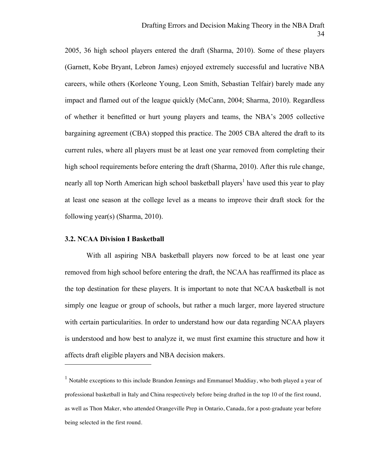2005, 36 high school players entered the draft (Sharma, 2010). Some of these players (Garnett, Kobe Bryant, Lebron James) enjoyed extremely successful and lucrative NBA careers, while others (Korleone Young, Leon Smith, Sebastian Telfair) barely made any impact and flamed out of the league quickly (McCann, 2004; Sharma, 2010). Regardless of whether it benefitted or hurt young players and teams, the NBA's 2005 collective bargaining agreement (CBA) stopped this practice. The 2005 CBA altered the draft to its current rules, where all players must be at least one year removed from completing their high school requirements before entering the draft (Sharma, 2010). After this rule change, nearly all top North American high school basketball players<sup>1</sup> have used this year to play at least one season at the college level as a means to improve their draft stock for the following year(s) (Sharma, 2010).

#### **3.2. NCAA Division I Basketball**

 $\overline{a}$ 

With all aspiring NBA basketball players now forced to be at least one year removed from high school before entering the draft, the NCAA has reaffirmed its place as the top destination for these players. It is important to note that NCAA basketball is not simply one league or group of schools, but rather a much larger, more layered structure with certain particularities. In order to understand how our data regarding NCAA players is understood and how best to analyze it, we must first examine this structure and how it affects draft eligible players and NBA decision makers.

 $<sup>1</sup>$  Notable exceptions to this include Brandon Jennings and Emmanuel Muddiay, who both played a year of</sup> professional basketball in Italy and China respectively before being drafted in the top 10 of the first round, as well as Thon Maker, who attended Orangeville Prep in Ontario, Canada, for a post-graduate year before being selected in the first round.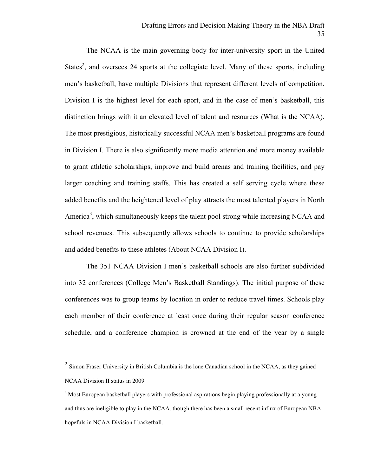The NCAA is the main governing body for inter-university sport in the United States<sup>2</sup>, and oversees 24 sports at the collegiate level. Many of these sports, including men's basketball, have multiple Divisions that represent different levels of competition. Division I is the highest level for each sport, and in the case of men's basketball, this distinction brings with it an elevated level of talent and resources (What is the NCAA). The most prestigious, historically successful NCAA men's basketball programs are found in Division I. There is also significantly more media attention and more money available to grant athletic scholarships, improve and build arenas and training facilities, and pay larger coaching and training staffs. This has created a self serving cycle where these added benefits and the heightened level of play attracts the most talented players in North America<sup>3</sup>, which simultaneously keeps the talent pool strong while increasing NCAA and school revenues. This subsequently allows schools to continue to provide scholarships and added benefits to these athletes (About NCAA Division I).

The 351 NCAA Division I men's basketball schools are also further subdivided into 32 conferences (College Men's Basketball Standings). The initial purpose of these conferences was to group teams by location in order to reduce travel times. Schools play each member of their conference at least once during their regular season conference schedule, and a conference champion is crowned at the end of the year by a single

 $\overline{a}$ 

 $2$  Simon Fraser University in British Columbia is the lone Canadian school in the NCAA, as they gained NCAA Division II status in 2009

<sup>&</sup>lt;sup>3</sup> Most European basketball players with professional aspirations begin playing professionally at a young and thus are ineligible to play in the NCAA, though there has been a small recent influx of European NBA hopefuls in NCAA Division I basketball.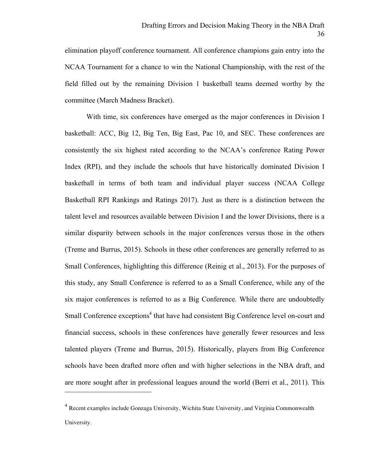elimination playoff conference tournament. All conference champions gain entry into the NCAA Tournament for a chance to win the National Championship, with the rest of the field filled out by the remaining Division 1 basketball teams deemed worthy by the committee (March Madness Bracket).

With time, six conferences have emerged as the major conferences in Division I basketball: ACC, Big 12, Big Ten, Big East, Pac 10, and SEC. These conferences are consistently the six highest rated according to the NCAA's conference Rating Power Index (RPI), and they include the schools that have historically dominated Division I basketball in terms of both team and individual player success (NCAA College Basketball RPI Rankings and Ratings 2017). Just as there is a distinction between the talent level and resources available between Division I and the lower Divisions, there is a similar disparity between schools in the major conferences versus those in the others (Treme and Burrus, 2015). Schools in these other conferences are generally referred to as Small Conferences, highlighting this difference (Reinig et al., 2013). For the purposes of this study, any Small Conference is referred to as a Small Conference, while any of the six major conferences is referred to as a Big Conference. While there are undoubtedly Small Conference exceptions<sup>4</sup> that have had consistent Big Conference level on-court and financial success, schools in these conferences have generally fewer resources and less talented players (Treme and Burrus, 2015). Historically, players from Big Conference schools have been drafted more often and with higher selections in the NBA draft, and are more sought after in professional leagues around the world (Berri et al., 2011). This

 $\overline{a}$ 

<sup>4</sup> Recent examples include Gonzaga University, Wichita State University, and Virginia Commonwealth University.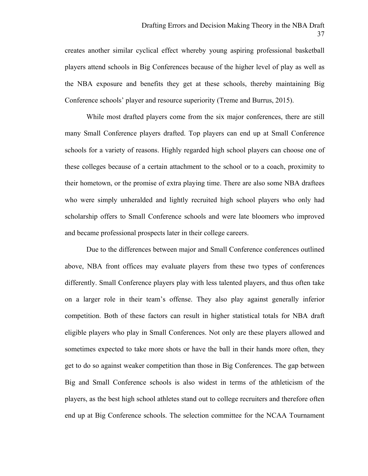creates another similar cyclical effect whereby young aspiring professional basketball players attend schools in Big Conferences because of the higher level of play as well as the NBA exposure and benefits they get at these schools, thereby maintaining Big Conference schools' player and resource superiority (Treme and Burrus, 2015).

While most drafted players come from the six major conferences, there are still many Small Conference players drafted. Top players can end up at Small Conference schools for a variety of reasons. Highly regarded high school players can choose one of these colleges because of a certain attachment to the school or to a coach, proximity to their hometown, or the promise of extra playing time. There are also some NBA draftees who were simply unheralded and lightly recruited high school players who only had scholarship offers to Small Conference schools and were late bloomers who improved and became professional prospects later in their college careers.

Due to the differences between major and Small Conference conferences outlined above, NBA front offices may evaluate players from these two types of conferences differently. Small Conference players play with less talented players, and thus often take on a larger role in their team's offense. They also play against generally inferior competition. Both of these factors can result in higher statistical totals for NBA draft eligible players who play in Small Conferences. Not only are these players allowed and sometimes expected to take more shots or have the ball in their hands more often, they get to do so against weaker competition than those in Big Conferences. The gap between Big and Small Conference schools is also widest in terms of the athleticism of the players, as the best high school athletes stand out to college recruiters and therefore often end up at Big Conference schools. The selection committee for the NCAA Tournament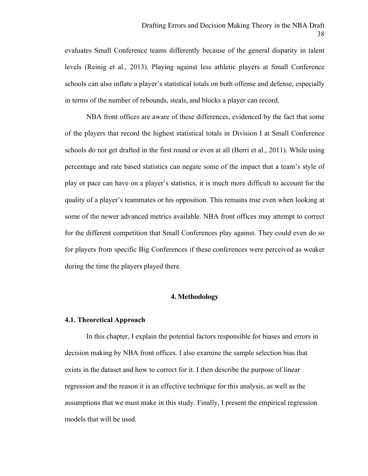evaluates Small Conference teams differently because of the general disparity in talent levels (Reinig et al., 2013). Playing against less athletic players at Small Conference schools can also inflate a player's statistical totals on both offense and defense, especially in terms of the number of rebounds, steals, and blocks a player can record.

NBA front offices are aware of these differences, evidenced by the fact that some of the players that record the highest statistical totals in Division I at Small Conference schools do not get drafted in the first round or even at all (Berri et al., 2011). While using percentage and rate based statistics can negate some of the impact that a team's style of play or pace can have on a player's statistics, it is much more difficult to account for the quality of a player's teammates or his opposition. This remains true even when looking at some of the newer advanced metrics available. NBA front offices may attempt to correct for the different competition that Small Conferences play against. They could even do so for players from specific Big Conferences if these conferences were perceived as weaker during the time the players played there.

# **4. Methodology**

#### **4.1. Theoretical Approach**

In this chapter, I explain the potential factors responsible for biases and errors in decision making by NBA front offices. I also examine the sample selection bias that exists in the dataset and how to correct for it. I then describe the purpose of linear regression and the reason it is an effective technique for this analysis, as well as the assumptions that we must make in this study. Finally, I present the empirical regression models that will be used.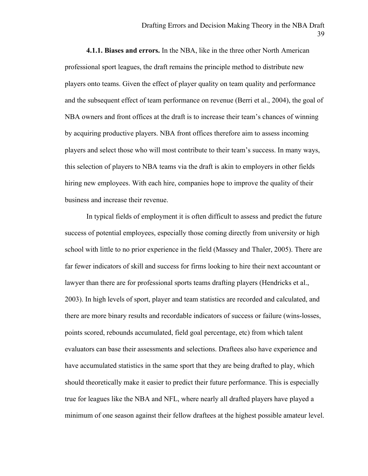**4.1.1. Biases and errors.** In the NBA, like in the three other North American professional sport leagues, the draft remains the principle method to distribute new players onto teams. Given the effect of player quality on team quality and performance and the subsequent effect of team performance on revenue (Berri et al., 2004), the goal of NBA owners and front offices at the draft is to increase their team's chances of winning by acquiring productive players. NBA front offices therefore aim to assess incoming players and select those who will most contribute to their team's success. In many ways, this selection of players to NBA teams via the draft is akin to employers in other fields hiring new employees. With each hire, companies hope to improve the quality of their business and increase their revenue.

In typical fields of employment it is often difficult to assess and predict the future success of potential employees, especially those coming directly from university or high school with little to no prior experience in the field (Massey and Thaler, 2005). There are far fewer indicators of skill and success for firms looking to hire their next accountant or lawyer than there are for professional sports teams drafting players (Hendricks et al., 2003). In high levels of sport, player and team statistics are recorded and calculated, and there are more binary results and recordable indicators of success or failure (wins-losses, points scored, rebounds accumulated, field goal percentage, etc) from which talent evaluators can base their assessments and selections. Draftees also have experience and have accumulated statistics in the same sport that they are being drafted to play, which should theoretically make it easier to predict their future performance. This is especially true for leagues like the NBA and NFL, where nearly all drafted players have played a minimum of one season against their fellow draftees at the highest possible amateur level.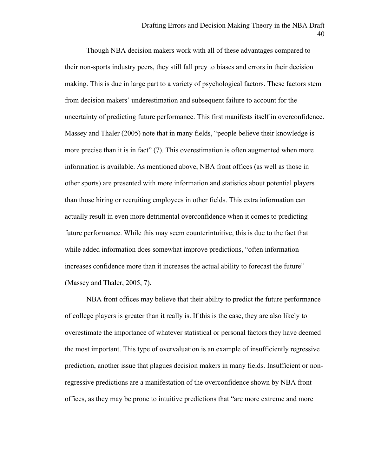Though NBA decision makers work with all of these advantages compared to their non-sports industry peers, they still fall prey to biases and errors in their decision making. This is due in large part to a variety of psychological factors. These factors stem from decision makers' underestimation and subsequent failure to account for the uncertainty of predicting future performance. This first manifests itself in overconfidence. Massey and Thaler (2005) note that in many fields, "people believe their knowledge is more precise than it is in fact" (7). This overestimation is often augmented when more information is available. As mentioned above, NBA front offices (as well as those in other sports) are presented with more information and statistics about potential players than those hiring or recruiting employees in other fields. This extra information can actually result in even more detrimental overconfidence when it comes to predicting future performance. While this may seem counterintuitive, this is due to the fact that while added information does somewhat improve predictions, "often information increases confidence more than it increases the actual ability to forecast the future" (Massey and Thaler, 2005, 7).

NBA front offices may believe that their ability to predict the future performance of college players is greater than it really is. If this is the case, they are also likely to overestimate the importance of whatever statistical or personal factors they have deemed the most important. This type of overvaluation is an example of insufficiently regressive prediction, another issue that plagues decision makers in many fields. Insufficient or nonregressive predictions are a manifestation of the overconfidence shown by NBA front offices, as they may be prone to intuitive predictions that "are more extreme and more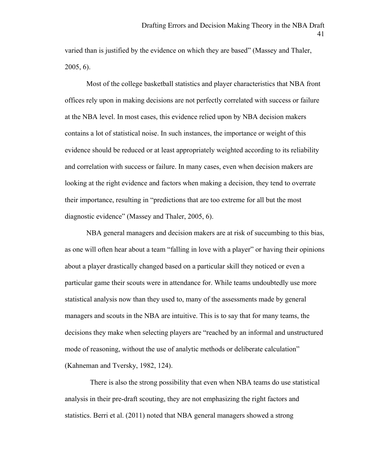varied than is justified by the evidence on which they are based" (Massey and Thaler, 2005, 6).

Most of the college basketball statistics and player characteristics that NBA front offices rely upon in making decisions are not perfectly correlated with success or failure at the NBA level. In most cases, this evidence relied upon by NBA decision makers contains a lot of statistical noise. In such instances, the importance or weight of this evidence should be reduced or at least appropriately weighted according to its reliability and correlation with success or failure. In many cases, even when decision makers are looking at the right evidence and factors when making a decision, they tend to overrate their importance, resulting in "predictions that are too extreme for all but the most diagnostic evidence" (Massey and Thaler, 2005, 6).

NBA general managers and decision makers are at risk of succumbing to this bias, as one will often hear about a team "falling in love with a player" or having their opinions about a player drastically changed based on a particular skill they noticed or even a particular game their scouts were in attendance for. While teams undoubtedly use more statistical analysis now than they used to, many of the assessments made by general managers and scouts in the NBA are intuitive. This is to say that for many teams, the decisions they make when selecting players are "reached by an informal and unstructured mode of reasoning, without the use of analytic methods or deliberate calculation" (Kahneman and Tversky, 1982, 124).

 There is also the strong possibility that even when NBA teams do use statistical analysis in their pre-draft scouting, they are not emphasizing the right factors and statistics. Berri et al. (2011) noted that NBA general managers showed a strong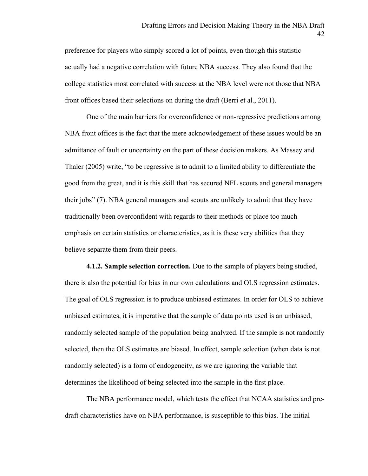preference for players who simply scored a lot of points, even though this statistic actually had a negative correlation with future NBA success. They also found that the college statistics most correlated with success at the NBA level were not those that NBA front offices based their selections on during the draft (Berri et al., 2011).

One of the main barriers for overconfidence or non-regressive predictions among NBA front offices is the fact that the mere acknowledgement of these issues would be an admittance of fault or uncertainty on the part of these decision makers. As Massey and Thaler (2005) write, "to be regressive is to admit to a limited ability to differentiate the good from the great, and it is this skill that has secured NFL scouts and general managers their jobs" (7). NBA general managers and scouts are unlikely to admit that they have traditionally been overconfident with regards to their methods or place too much emphasis on certain statistics or characteristics, as it is these very abilities that they believe separate them from their peers.

**4.1.2. Sample selection correction.** Due to the sample of players being studied, there is also the potential for bias in our own calculations and OLS regression estimates. The goal of OLS regression is to produce unbiased estimates. In order for OLS to achieve unbiased estimates, it is imperative that the sample of data points used is an unbiased, randomly selected sample of the population being analyzed. If the sample is not randomly selected, then the OLS estimates are biased. In effect, sample selection (when data is not randomly selected) is a form of endogeneity, as we are ignoring the variable that determines the likelihood of being selected into the sample in the first place.

The NBA performance model, which tests the effect that NCAA statistics and predraft characteristics have on NBA performance, is susceptible to this bias. The initial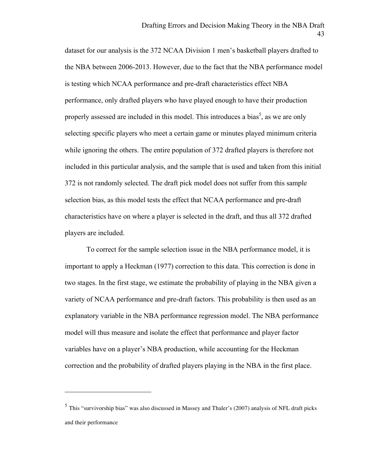dataset for our analysis is the 372 NCAA Division 1 men's basketball players drafted to the NBA between 2006-2013. However, due to the fact that the NBA performance model is testing which NCAA performance and pre-draft characteristics effect NBA performance, only drafted players who have played enough to have their production properly assessed are included in this model. This introduces a bias<sup>5</sup>, as we are only selecting specific players who meet a certain game or minutes played minimum criteria while ignoring the others. The entire population of 372 drafted players is therefore not included in this particular analysis, and the sample that is used and taken from this initial 372 is not randomly selected. The draft pick model does not suffer from this sample selection bias, as this model tests the effect that NCAA performance and pre-draft characteristics have on where a player is selected in the draft, and thus all 372 drafted players are included.

To correct for the sample selection issue in the NBA performance model, it is important to apply a Heckman (1977) correction to this data. This correction is done in two stages. In the first stage, we estimate the probability of playing in the NBA given a variety of NCAA performance and pre-draft factors. This probability is then used as an explanatory variable in the NBA performance regression model. The NBA performance model will thus measure and isolate the effect that performance and player factor variables have on a player's NBA production, while accounting for the Heckman correction and the probability of drafted players playing in the NBA in the first place.

 $\overline{a}$ 

<sup>5</sup> This "survivorship bias" was also discussed in Massey and Thaler's (2007) analysis of NFL draft picks and their performance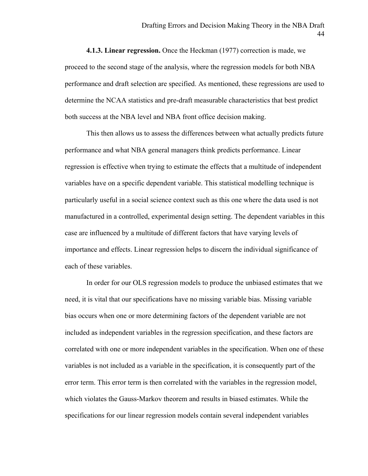**4.1.3. Linear regression.** Once the Heckman (1977) correction is made, we proceed to the second stage of the analysis, where the regression models for both NBA performance and draft selection are specified. As mentioned, these regressions are used to determine the NCAA statistics and pre-draft measurable characteristics that best predict both success at the NBA level and NBA front office decision making.

This then allows us to assess the differences between what actually predicts future performance and what NBA general managers think predicts performance. Linear regression is effective when trying to estimate the effects that a multitude of independent variables have on a specific dependent variable. This statistical modelling technique is particularly useful in a social science context such as this one where the data used is not manufactured in a controlled, experimental design setting. The dependent variables in this case are influenced by a multitude of different factors that have varying levels of importance and effects. Linear regression helps to discern the individual significance of each of these variables.

In order for our OLS regression models to produce the unbiased estimates that we need, it is vital that our specifications have no missing variable bias. Missing variable bias occurs when one or more determining factors of the dependent variable are not included as independent variables in the regression specification, and these factors are correlated with one or more independent variables in the specification. When one of these variables is not included as a variable in the specification, it is consequently part of the error term. This error term is then correlated with the variables in the regression model, which violates the Gauss-Markov theorem and results in biased estimates. While the specifications for our linear regression models contain several independent variables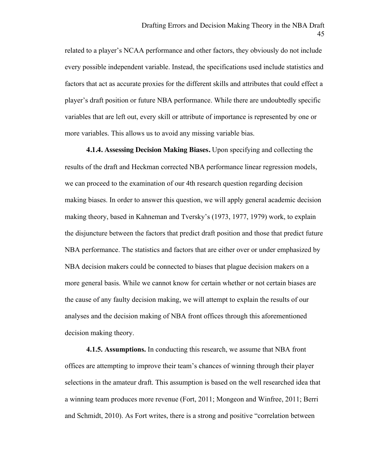related to a player's NCAA performance and other factors, they obviously do not include every possible independent variable. Instead, the specifications used include statistics and factors that act as accurate proxies for the different skills and attributes that could effect a player's draft position or future NBA performance. While there are undoubtedly specific variables that are left out, every skill or attribute of importance is represented by one or more variables. This allows us to avoid any missing variable bias.

**4.1.4. Assessing Decision Making Biases.** Upon specifying and collecting the results of the draft and Heckman corrected NBA performance linear regression models, we can proceed to the examination of our 4th research question regarding decision making biases. In order to answer this question, we will apply general academic decision making theory, based in Kahneman and Tversky's (1973, 1977, 1979) work, to explain the disjuncture between the factors that predict draft position and those that predict future NBA performance. The statistics and factors that are either over or under emphasized by NBA decision makers could be connected to biases that plague decision makers on a more general basis. While we cannot know for certain whether or not certain biases are the cause of any faulty decision making, we will attempt to explain the results of our analyses and the decision making of NBA front offices through this aforementioned decision making theory.

**4.1.5. Assumptions.** In conducting this research, we assume that NBA front offices are attempting to improve their team's chances of winning through their player selections in the amateur draft. This assumption is based on the well researched idea that a winning team produces more revenue (Fort, 2011; Mongeon and Winfree, 2011; Berri and Schmidt, 2010). As Fort writes, there is a strong and positive "correlation between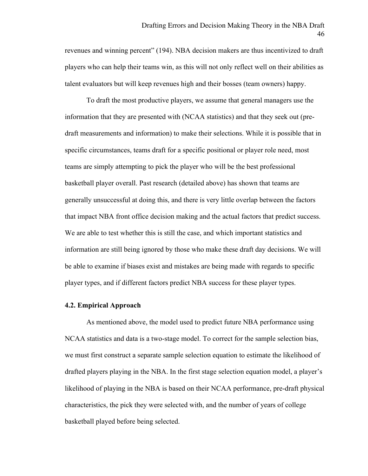revenues and winning percent" (194). NBA decision makers are thus incentivized to draft players who can help their teams win, as this will not only reflect well on their abilities as talent evaluators but will keep revenues high and their bosses (team owners) happy.

To draft the most productive players, we assume that general managers use the information that they are presented with (NCAA statistics) and that they seek out (predraft measurements and information) to make their selections. While it is possible that in specific circumstances, teams draft for a specific positional or player role need, most teams are simply attempting to pick the player who will be the best professional basketball player overall. Past research (detailed above) has shown that teams are generally unsuccessful at doing this, and there is very little overlap between the factors that impact NBA front office decision making and the actual factors that predict success. We are able to test whether this is still the case, and which important statistics and information are still being ignored by those who make these draft day decisions. We will be able to examine if biases exist and mistakes are being made with regards to specific player types, and if different factors predict NBA success for these player types.

## **4.2. Empirical Approach**

As mentioned above, the model used to predict future NBA performance using NCAA statistics and data is a two-stage model. To correct for the sample selection bias, we must first construct a separate sample selection equation to estimate the likelihood of drafted players playing in the NBA. In the first stage selection equation model, a player's likelihood of playing in the NBA is based on their NCAA performance, pre-draft physical characteristics, the pick they were selected with, and the number of years of college basketball played before being selected.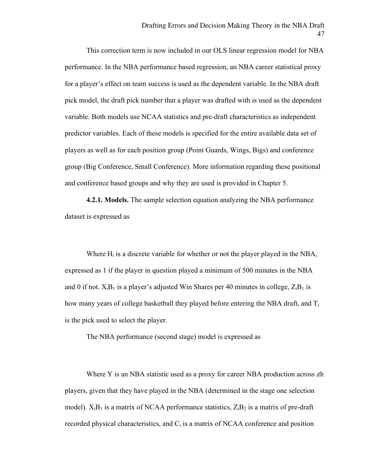This correction term is now included in our OLS linear regression model for NBA performance. In the NBA performance based regression, an NBA career statistical proxy for a player's effect on team success is used as the dependent variable. In the NBA draft pick model, the draft pick number that a player was drafted with is used as the dependent variable. Both models use NCAA statistics and pre-draft characteristics as independent predictor variables. Each of these models is specified for the entire available data set of players as well as for each position group (Point Guards, Wings, Bigs) and conference group (Big Conference, Small Conference). More information regarding these positional and conference based groups and why they are used is provided in Chapter 5.

**4.2.1. Models.** The sample selection equation analyzing the NBA performance dataset is expressed as

Where  $H_i$  is a discrete variable for whether or not the player played in the NBA, expressed as 1 if the player in question played a minimum of 500 minutes in the NBA and 0 if not.  $X_iB_1$  is a player's adjusted Win Shares per 40 minutes in college,  $Z_iB_1$  is how many years of college basketball they played before entering the NBA draft, and  $T_i$ is the pick used to select the player.

The NBA performance (second stage) model is expressed as

Where Y is an NBA statistic used as a proxy for career NBA production across  $_1$ th players, given that they have played in the NBA (determined in the stage one selection model).  $X_iB_1$  is a matrix of NCAA performance statistics,  $Z_iB_2$  is a matrix of pre-draft recorded physical characteristics, and  $C_i$  is a matrix of NCAA conference and position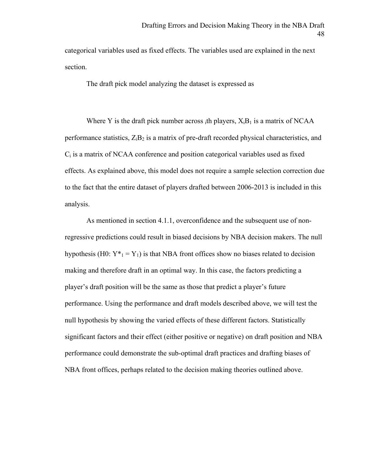categorical variables used as fixed effects. The variables used are explained in the next section.

The draft pick model analyzing the dataset is expressed as

Where Y is the draft pick number across  $_i$ th players,  $X_iB_i$  is a matrix of NCAA performance statistics,  $Z_iB_2$  is a matrix of pre-draft recorded physical characteristics, and  $C_i$  is a matrix of NCAA conference and position categorical variables used as fixed effects. As explained above, this model does not require a sample selection correction due to the fact that the entire dataset of players drafted between 2006-2013 is included in this analysis.

As mentioned in section 4.1.1, overconfidence and the subsequent use of nonregressive predictions could result in biased decisions by NBA decision makers. The null hypothesis (H0:  $Y^*_{1} = Y_1$ ) is that NBA front offices show no biases related to decision making and therefore draft in an optimal way. In this case, the factors predicting a player's draft position will be the same as those that predict a player's future performance. Using the performance and draft models described above, we will test the null hypothesis by showing the varied effects of these different factors. Statistically significant factors and their effect (either positive or negative) on draft position and NBA performance could demonstrate the sub-optimal draft practices and drafting biases of NBA front offices, perhaps related to the decision making theories outlined above.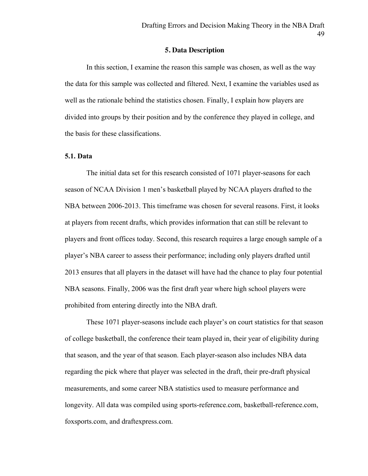#### **5. Data Description**

In this section, I examine the reason this sample was chosen, as well as the way the data for this sample was collected and filtered. Next, I examine the variables used as well as the rationale behind the statistics chosen. Finally, I explain how players are divided into groups by their position and by the conference they played in college, and the basis for these classifications.

#### **5.1. Data**

The initial data set for this research consisted of 1071 player-seasons for each season of NCAA Division 1 men's basketball played by NCAA players drafted to the NBA between 2006-2013. This timeframe was chosen for several reasons. First, it looks at players from recent drafts, which provides information that can still be relevant to players and front offices today. Second, this research requires a large enough sample of a player's NBA career to assess their performance; including only players drafted until 2013 ensures that all players in the dataset will have had the chance to play four potential NBA seasons. Finally, 2006 was the first draft year where high school players were prohibited from entering directly into the NBA draft.

These 1071 player-seasons include each player's on court statistics for that season of college basketball, the conference their team played in, their year of eligibility during that season, and the year of that season. Each player-season also includes NBA data regarding the pick where that player was selected in the draft, their pre-draft physical measurements, and some career NBA statistics used to measure performance and longevity. All data was compiled using sports-reference.com, basketball-reference.com, foxsports.com, and draftexpress.com.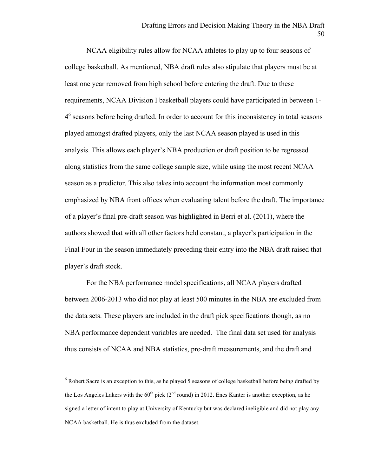NCAA eligibility rules allow for NCAA athletes to play up to four seasons of college basketball. As mentioned, NBA draft rules also stipulate that players must be at least one year removed from high school before entering the draft. Due to these requirements, NCAA Division I basketball players could have participated in between 1- 4<sup>6</sup> seasons before being drafted. In order to account for this inconsistency in total seasons played amongst drafted players, only the last NCAA season played is used in this analysis. This allows each player's NBA production or draft position to be regressed along statistics from the same college sample size, while using the most recent NCAA season as a predictor. This also takes into account the information most commonly emphasized by NBA front offices when evaluating talent before the draft. The importance of a player's final pre-draft season was highlighted in Berri et al. (2011), where the authors showed that with all other factors held constant, a player's participation in the Final Four in the season immediately preceding their entry into the NBA draft raised that player's draft stock.

For the NBA performance model specifications, all NCAA players drafted between 2006-2013 who did not play at least 500 minutes in the NBA are excluded from the data sets. These players are included in the draft pick specifications though, as no NBA performance dependent variables are needed. The final data set used for analysis thus consists of NCAA and NBA statistics, pre-draft measurements, and the draft and

 $\overline{a}$ 

<sup>&</sup>lt;sup>6</sup> Robert Sacre is an exception to this, as he played 5 seasons of college basketball before being drafted by the Los Angeles Lakers with the  $60^{th}$  pick ( $2^{nd}$  round) in 2012. Enes Kanter is another exception, as he signed a letter of intent to play at University of Kentucky but was declared ineligible and did not play any NCAA basketball. He is thus excluded from the dataset.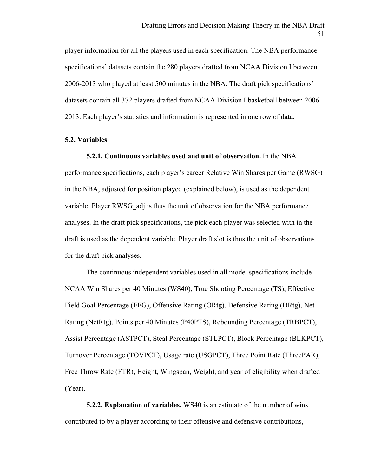player information for all the players used in each specification. The NBA performance specifications' datasets contain the 280 players drafted from NCAA Division I between 2006-2013 who played at least 500 minutes in the NBA. The draft pick specifications' datasets contain all 372 players drafted from NCAA Division I basketball between 2006- 2013. Each player's statistics and information is represented in one row of data.

## **5.2. Variables**

**5.2.1. Continuous variables used and unit of observation.** In the NBA performance specifications, each player's career Relative Win Shares per Game (RWSG) in the NBA, adjusted for position played (explained below), is used as the dependent variable. Player RWSG\_adj is thus the unit of observation for the NBA performance analyses. In the draft pick specifications, the pick each player was selected with in the draft is used as the dependent variable. Player draft slot is thus the unit of observations for the draft pick analyses.

The continuous independent variables used in all model specifications include NCAA Win Shares per 40 Minutes (WS40), True Shooting Percentage (TS), Effective Field Goal Percentage (EFG), Offensive Rating (ORtg), Defensive Rating (DRtg), Net Rating (NetRtg), Points per 40 Minutes (P40PTS), Rebounding Percentage (TRBPCT), Assist Percentage (ASTPCT), Steal Percentage (STLPCT), Block Percentage (BLKPCT), Turnover Percentage (TOVPCT), Usage rate (USGPCT), Three Point Rate (ThreePAR), Free Throw Rate (FTR), Height, Wingspan, Weight, and year of eligibility when drafted (Year).

**5.2.2. Explanation of variables.** WS40 is an estimate of the number of wins contributed to by a player according to their offensive and defensive contributions,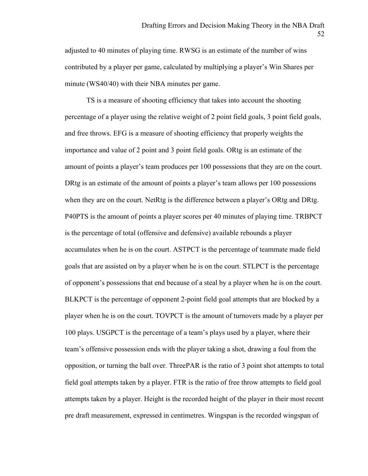adjusted to 40 minutes of playing time. RWSG is an estimate of the number of wins contributed by a player per game, calculated by multiplying a player's Win Shares per minute (WS40/40) with their NBA minutes per game.

TS is a measure of shooting efficiency that takes into account the shooting percentage of a player using the relative weight of 2 point field goals, 3 point field goals, and free throws. EFG is a measure of shooting efficiency that properly weights the importance and value of 2 point and 3 point field goals. ORtg is an estimate of the amount of points a player's team produces per 100 possessions that they are on the court. DRtg is an estimate of the amount of points a player's team allows per 100 possessions when they are on the court. NetRtg is the difference between a player's ORtg and DRtg. P40PTS is the amount of points a player scores per 40 minutes of playing time. TRBPCT is the percentage of total (offensive and defensive) available rebounds a player accumulates when he is on the court. ASTPCT is the percentage of teammate made field goals that are assisted on by a player when he is on the court. STLPCT is the percentage of opponent's possessions that end because of a steal by a player when he is on the court. BLKPCT is the percentage of opponent 2-point field goal attempts that are blocked by a player when he is on the court. TOVPCT is the amount of turnovers made by a player per 100 plays. USGPCT is the percentage of a team's plays used by a player, where their team's offensive possession ends with the player taking a shot, drawing a foul from the opposition, or turning the ball over. ThreePAR is the ratio of 3 point shot attempts to total field goal attempts taken by a player. FTR is the ratio of free throw attempts to field goal attempts taken by a player. Height is the recorded height of the player in their most recent pre draft measurement, expressed in centimetres. Wingspan is the recorded wingspan of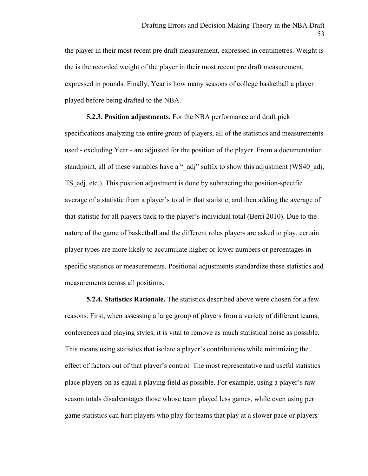the player in their most recent pre draft measurement, expressed in centimetres. Weight is the is the recorded weight of the player in their most recent pre draft measurement, expressed in pounds. Finally, Year is how many seasons of college basketball a player played before being drafted to the NBA.

**5.2.3. Position adjustments.** For the NBA performance and draft pick specifications analyzing the entire group of players, all of the statistics and measurements used - excluding Year - are adjusted for the position of the player. From a documentation standpoint, all of these variables have a " adj" suffix to show this adjustment (WS40 adj, TS\_adj, etc.). This position adjustment is done by subtracting the position-specific average of a statistic from a player's total in that statistic, and then adding the average of that statistic for all players back to the player's individual total (Berri 2010). Due to the nature of the game of basketball and the different roles players are asked to play, certain player types are more likely to accumulate higher or lower numbers or percentages in specific statistics or measurements. Positional adjustments standardize these statistics and measurements across all positions.

**5.2.4. Statistics Rationale.** The statistics described above were chosen for a few reasons. First, when assessing a large group of players from a variety of different teams, conferences and playing styles, it is vital to remove as much statistical noise as possible. This means using statistics that isolate a player's contributions while minimizing the effect of factors out of that player's control. The most representative and useful statistics place players on as equal a playing field as possible. For example, using a player's raw season totals disadvantages those whose team played less games, while even using per game statistics can hurt players who play for teams that play at a slower pace or players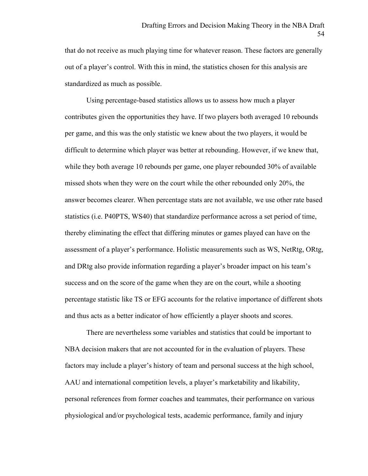that do not receive as much playing time for whatever reason. These factors are generally out of a player's control. With this in mind, the statistics chosen for this analysis are standardized as much as possible.

Using percentage-based statistics allows us to assess how much a player contributes given the opportunities they have. If two players both averaged 10 rebounds per game, and this was the only statistic we knew about the two players, it would be difficult to determine which player was better at rebounding. However, if we knew that, while they both average 10 rebounds per game, one player rebounded 30% of available missed shots when they were on the court while the other rebounded only 20%, the answer becomes clearer. When percentage stats are not available, we use other rate based statistics (i.e. P40PTS, WS40) that standardize performance across a set period of time, thereby eliminating the effect that differing minutes or games played can have on the assessment of a player's performance. Holistic measurements such as WS, NetRtg, ORtg, and DRtg also provide information regarding a player's broader impact on his team's success and on the score of the game when they are on the court, while a shooting percentage statistic like TS or EFG accounts for the relative importance of different shots and thus acts as a better indicator of how efficiently a player shoots and scores.

There are nevertheless some variables and statistics that could be important to NBA decision makers that are not accounted for in the evaluation of players. These factors may include a player's history of team and personal success at the high school, AAU and international competition levels, a player's marketability and likability, personal references from former coaches and teammates, their performance on various physiological and/or psychological tests, academic performance, family and injury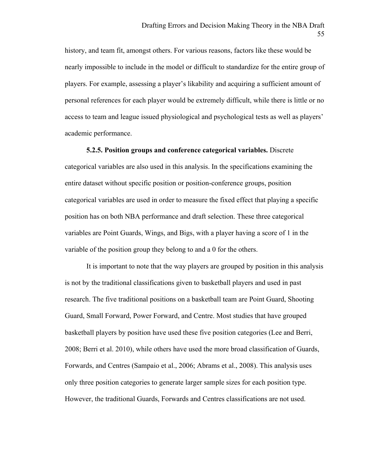history, and team fit, amongst others. For various reasons, factors like these would be nearly impossible to include in the model or difficult to standardize for the entire group of players. For example, assessing a player's likability and acquiring a sufficient amount of personal references for each player would be extremely difficult, while there is little or no access to team and league issued physiological and psychological tests as well as players' academic performance.

**5.2.5. Position groups and conference categorical variables.** Discrete

categorical variables are also used in this analysis. In the specifications examining the entire dataset without specific position or position-conference groups, position categorical variables are used in order to measure the fixed effect that playing a specific position has on both NBA performance and draft selection. These three categorical variables are Point Guards, Wings, and Bigs, with a player having a score of 1 in the variable of the position group they belong to and a 0 for the others.

It is important to note that the way players are grouped by position in this analysis is not by the traditional classifications given to basketball players and used in past research. The five traditional positions on a basketball team are Point Guard, Shooting Guard, Small Forward, Power Forward, and Centre. Most studies that have grouped basketball players by position have used these five position categories (Lee and Berri, 2008; Berri et al. 2010), while others have used the more broad classification of Guards, Forwards, and Centres (Sampaio et al., 2006; Abrams et al., 2008). This analysis uses only three position categories to generate larger sample sizes for each position type. However, the traditional Guards, Forwards and Centres classifications are not used.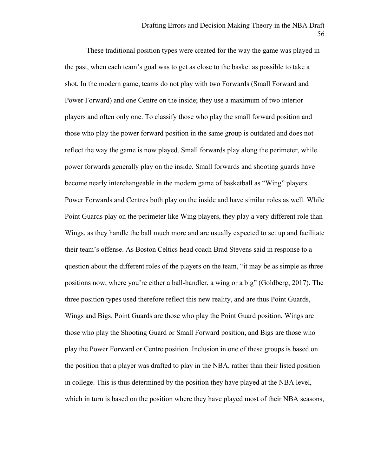These traditional position types were created for the way the game was played in the past, when each team's goal was to get as close to the basket as possible to take a shot. In the modern game, teams do not play with two Forwards (Small Forward and Power Forward) and one Centre on the inside; they use a maximum of two interior players and often only one. To classify those who play the small forward position and those who play the power forward position in the same group is outdated and does not reflect the way the game is now played. Small forwards play along the perimeter, while power forwards generally play on the inside. Small forwards and shooting guards have become nearly interchangeable in the modern game of basketball as "Wing" players. Power Forwards and Centres both play on the inside and have similar roles as well. While Point Guards play on the perimeter like Wing players, they play a very different role than Wings, as they handle the ball much more and are usually expected to set up and facilitate their team's offense. As Boston Celtics head coach Brad Stevens said in response to a question about the different roles of the players on the team, "it may be as simple as three positions now, where you're either a ball-handler, a wing or a big" (Goldberg, 2017). The three position types used therefore reflect this new reality, and are thus Point Guards, Wings and Bigs. Point Guards are those who play the Point Guard position, Wings are those who play the Shooting Guard or Small Forward position, and Bigs are those who play the Power Forward or Centre position. Inclusion in one of these groups is based on the position that a player was drafted to play in the NBA, rather than their listed position in college. This is thus determined by the position they have played at the NBA level, which in turn is based on the position where they have played most of their NBA seasons,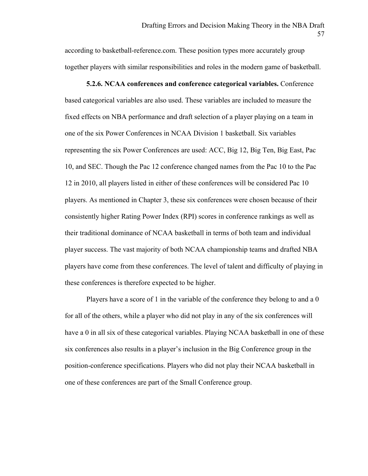according to basketball-reference.com. These position types more accurately group together players with similar responsibilities and roles in the modern game of basketball.

**5.2.6. NCAA conferences and conference categorical variables.** Conference based categorical variables are also used. These variables are included to measure the fixed effects on NBA performance and draft selection of a player playing on a team in one of the six Power Conferences in NCAA Division 1 basketball. Six variables representing the six Power Conferences are used: ACC, Big 12, Big Ten, Big East, Pac 10, and SEC. Though the Pac 12 conference changed names from the Pac 10 to the Pac 12 in 2010, all players listed in either of these conferences will be considered Pac 10 players. As mentioned in Chapter 3, these six conferences were chosen because of their consistently higher Rating Power Index (RPI) scores in conference rankings as well as their traditional dominance of NCAA basketball in terms of both team and individual player success. The vast majority of both NCAA championship teams and drafted NBA players have come from these conferences. The level of talent and difficulty of playing in these conferences is therefore expected to be higher.

Players have a score of 1 in the variable of the conference they belong to and a 0 for all of the others, while a player who did not play in any of the six conferences will have a 0 in all six of these categorical variables. Playing NCAA basketball in one of these six conferences also results in a player's inclusion in the Big Conference group in the position-conference specifications. Players who did not play their NCAA basketball in one of these conferences are part of the Small Conference group.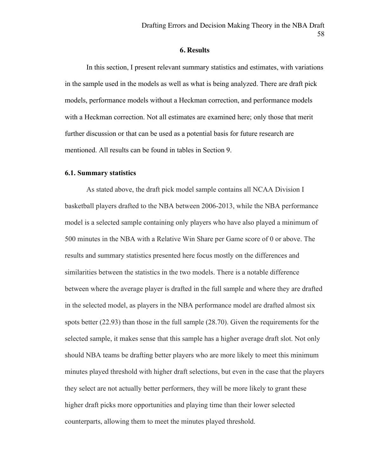## **6. Results**

In this section, I present relevant summary statistics and estimates, with variations in the sample used in the models as well as what is being analyzed. There are draft pick models, performance models without a Heckman correction, and performance models with a Heckman correction. Not all estimates are examined here; only those that merit further discussion or that can be used as a potential basis for future research are mentioned. All results can be found in tables in Section 9.

# **6.1. Summary statistics**

As stated above, the draft pick model sample contains all NCAA Division I basketball players drafted to the NBA between 2006-2013, while the NBA performance model is a selected sample containing only players who have also played a minimum of 500 minutes in the NBA with a Relative Win Share per Game score of 0 or above. The results and summary statistics presented here focus mostly on the differences and similarities between the statistics in the two models. There is a notable difference between where the average player is drafted in the full sample and where they are drafted in the selected model, as players in the NBA performance model are drafted almost six spots better (22.93) than those in the full sample (28.70). Given the requirements for the selected sample, it makes sense that this sample has a higher average draft slot. Not only should NBA teams be drafting better players who are more likely to meet this minimum minutes played threshold with higher draft selections, but even in the case that the players they select are not actually better performers, they will be more likely to grant these higher draft picks more opportunities and playing time than their lower selected counterparts, allowing them to meet the minutes played threshold.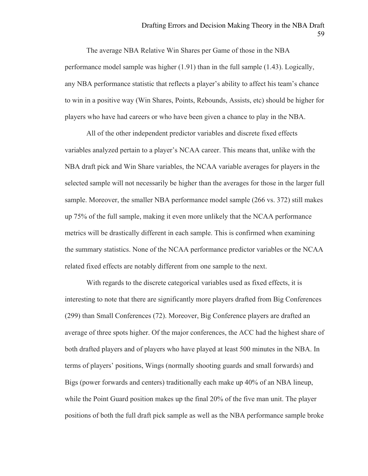The average NBA Relative Win Shares per Game of those in the NBA performance model sample was higher (1.91) than in the full sample (1.43). Logically, any NBA performance statistic that reflects a player's ability to affect his team's chance to win in a positive way (Win Shares, Points, Rebounds, Assists, etc) should be higher for players who have had careers or who have been given a chance to play in the NBA.

All of the other independent predictor variables and discrete fixed effects variables analyzed pertain to a player's NCAA career. This means that, unlike with the NBA draft pick and Win Share variables, the NCAA variable averages for players in the selected sample will not necessarily be higher than the averages for those in the larger full sample. Moreover, the smaller NBA performance model sample (266 vs. 372) still makes up 75% of the full sample, making it even more unlikely that the NCAA performance metrics will be drastically different in each sample. This is confirmed when examining the summary statistics. None of the NCAA performance predictor variables or the NCAA related fixed effects are notably different from one sample to the next.

With regards to the discrete categorical variables used as fixed effects, it is interesting to note that there are significantly more players drafted from Big Conferences (299) than Small Conferences (72). Moreover, Big Conference players are drafted an average of three spots higher. Of the major conferences, the ACC had the highest share of both drafted players and of players who have played at least 500 minutes in the NBA. In terms of players' positions, Wings (normally shooting guards and small forwards) and Bigs (power forwards and centers) traditionally each make up 40% of an NBA lineup, while the Point Guard position makes up the final 20% of the five man unit. The player positions of both the full draft pick sample as well as the NBA performance sample broke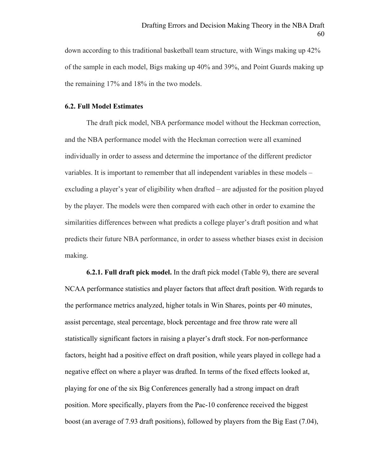down according to this traditional basketball team structure, with Wings making up 42% of the sample in each model, Bigs making up 40% and 39%, and Point Guards making up the remaining 17% and 18% in the two models.

#### **6.2. Full Model Estimates**

The draft pick model, NBA performance model without the Heckman correction, and the NBA performance model with the Heckman correction were all examined individually in order to assess and determine the importance of the different predictor variables. It is important to remember that all independent variables in these models – excluding a player's year of eligibility when drafted – are adjusted for the position played by the player. The models were then compared with each other in order to examine the similarities differences between what predicts a college player's draft position and what predicts their future NBA performance, in order to assess whether biases exist in decision making.

**6.2.1. Full draft pick model.** In the draft pick model (Table 9), there are several NCAA performance statistics and player factors that affect draft position. With regards to the performance metrics analyzed, higher totals in Win Shares, points per 40 minutes, assist percentage, steal percentage, block percentage and free throw rate were all statistically significant factors in raising a player's draft stock. For non-performance factors, height had a positive effect on draft position, while years played in college had a negative effect on where a player was drafted. In terms of the fixed effects looked at, playing for one of the six Big Conferences generally had a strong impact on draft position. More specifically, players from the Pac-10 conference received the biggest boost (an average of 7.93 draft positions), followed by players from the Big East (7.04),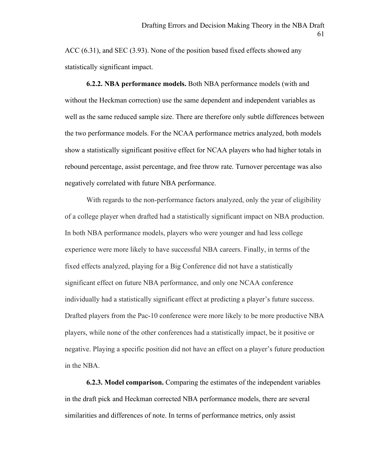ACC (6.31), and SEC (3.93). None of the position based fixed effects showed any statistically significant impact.

**6.2.2. NBA performance models.** Both NBA performance models (with and without the Heckman correction) use the same dependent and independent variables as well as the same reduced sample size. There are therefore only subtle differences between the two performance models. For the NCAA performance metrics analyzed, both models show a statistically significant positive effect for NCAA players who had higher totals in rebound percentage, assist percentage, and free throw rate. Turnover percentage was also negatively correlated with future NBA performance.

With regards to the non-performance factors analyzed, only the year of eligibility of a college player when drafted had a statistically significant impact on NBA production. In both NBA performance models, players who were younger and had less college experience were more likely to have successful NBA careers. Finally, in terms of the fixed effects analyzed, playing for a Big Conference did not have a statistically significant effect on future NBA performance, and only one NCAA conference individually had a statistically significant effect at predicting a player's future success. Drafted players from the Pac-10 conference were more likely to be more productive NBA players, while none of the other conferences had a statistically impact, be it positive or negative. Playing a specific position did not have an effect on a player's future production in the NBA.

**6.2.3. Model comparison.** Comparing the estimates of the independent variables in the draft pick and Heckman corrected NBA performance models, there are several similarities and differences of note. In terms of performance metrics, only assist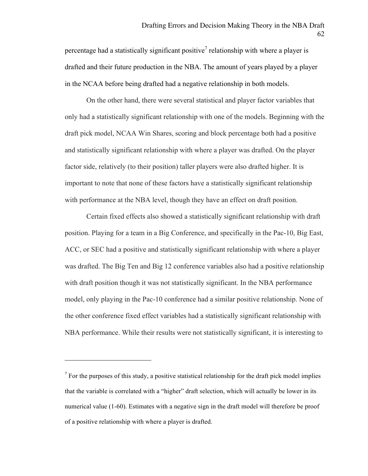percentage had a statistically significant positive<sup>7</sup> relationship with where a player is drafted and their future production in the NBA. The amount of years played by a player in the NCAA before being drafted had a negative relationship in both models.

On the other hand, there were several statistical and player factor variables that only had a statistically significant relationship with one of the models. Beginning with the draft pick model, NCAA Win Shares, scoring and block percentage both had a positive and statistically significant relationship with where a player was drafted. On the player factor side, relatively (to their position) taller players were also drafted higher. It is important to note that none of these factors have a statistically significant relationship with performance at the NBA level, though they have an effect on draft position.

Certain fixed effects also showed a statistically significant relationship with draft position. Playing for a team in a Big Conference, and specifically in the Pac-10, Big East, ACC, or SEC had a positive and statistically significant relationship with where a player was drafted. The Big Ten and Big 12 conference variables also had a positive relationship with draft position though it was not statistically significant. In the NBA performance model, only playing in the Pac-10 conference had a similar positive relationship. None of the other conference fixed effect variables had a statistically significant relationship with NBA performance. While their results were not statistically significant, it is interesting to

 $\overline{a}$ 

 $<sup>7</sup>$  For the purposes of this study, a positive statistical relationship for the draft pick model implies</sup> that the variable is correlated with a "higher" draft selection, which will actually be lower in its numerical value (1-60). Estimates with a negative sign in the draft model will therefore be proof of a positive relationship with where a player is drafted.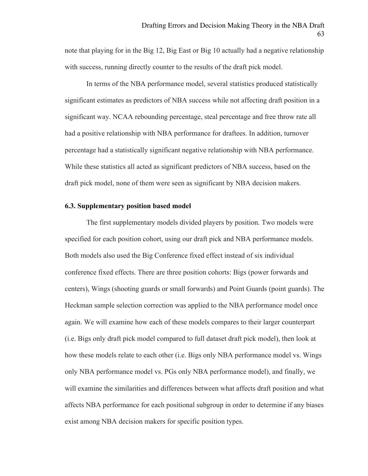note that playing for in the Big 12, Big East or Big 10 actually had a negative relationship with success, running directly counter to the results of the draft pick model.

In terms of the NBA performance model, several statistics produced statistically significant estimates as predictors of NBA success while not affecting draft position in a significant way. NCAA rebounding percentage, steal percentage and free throw rate all had a positive relationship with NBA performance for draftees. In addition, turnover percentage had a statistically significant negative relationship with NBA performance. While these statistics all acted as significant predictors of NBA success, based on the draft pick model, none of them were seen as significant by NBA decision makers.

## **6.3. Supplementary position based model**

The first supplementary models divided players by position. Two models were specified for each position cohort, using our draft pick and NBA performance models. Both models also used the Big Conference fixed effect instead of six individual conference fixed effects. There are three position cohorts: Bigs (power forwards and centers), Wings (shooting guards or small forwards) and Point Guards (point guards). The Heckman sample selection correction was applied to the NBA performance model once again. We will examine how each of these models compares to their larger counterpart (i.e. Bigs only draft pick model compared to full dataset draft pick model), then look at how these models relate to each other (i.e. Bigs only NBA performance model vs. Wings only NBA performance model vs. PGs only NBA performance model), and finally, we will examine the similarities and differences between what affects draft position and what affects NBA performance for each positional subgroup in order to determine if any biases exist among NBA decision makers for specific position types.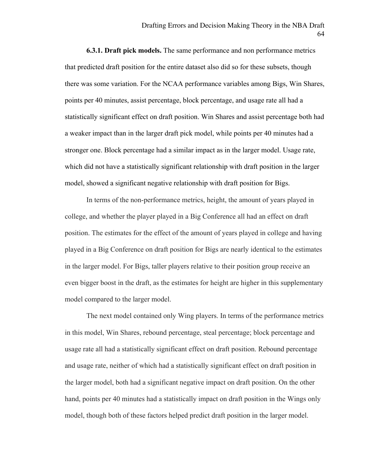**6.3.1. Draft pick models.** The same performance and non performance metrics that predicted draft position for the entire dataset also did so for these subsets, though there was some variation. For the NCAA performance variables among Bigs, Win Shares, points per 40 minutes, assist percentage, block percentage, and usage rate all had a statistically significant effect on draft position. Win Shares and assist percentage both had a weaker impact than in the larger draft pick model, while points per 40 minutes had a stronger one. Block percentage had a similar impact as in the larger model. Usage rate, which did not have a statistically significant relationship with draft position in the larger model, showed a significant negative relationship with draft position for Bigs.

In terms of the non-performance metrics, height, the amount of years played in college, and whether the player played in a Big Conference all had an effect on draft position. The estimates for the effect of the amount of years played in college and having played in a Big Conference on draft position for Bigs are nearly identical to the estimates in the larger model. For Bigs, taller players relative to their position group receive an even bigger boost in the draft, as the estimates for height are higher in this supplementary model compared to the larger model.

The next model contained only Wing players. In terms of the performance metrics in this model, Win Shares, rebound percentage, steal percentage; block percentage and usage rate all had a statistically significant effect on draft position. Rebound percentage and usage rate, neither of which had a statistically significant effect on draft position in the larger model, both had a significant negative impact on draft position. On the other hand, points per 40 minutes had a statistically impact on draft position in the Wings only model, though both of these factors helped predict draft position in the larger model.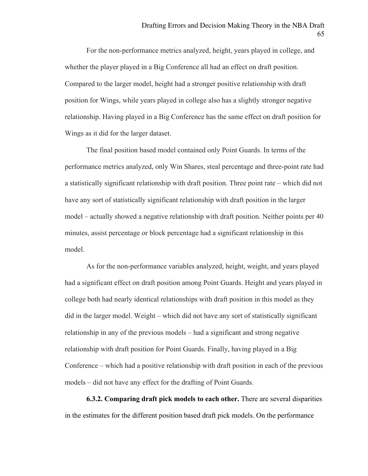For the non-performance metrics analyzed, height, years played in college, and whether the player played in a Big Conference all had an effect on draft position. Compared to the larger model, height had a stronger positive relationship with draft position for Wings, while years played in college also has a slightly stronger negative relationship. Having played in a Big Conference has the same effect on draft position for Wings as it did for the larger dataset.

The final position based model contained only Point Guards. In terms of the performance metrics analyzed, only Win Shares, steal percentage and three-point rate had a statistically significant relationship with draft position. Three point rate – which did not have any sort of statistically significant relationship with draft position in the larger model – actually showed a negative relationship with draft position. Neither points per 40 minutes, assist percentage or block percentage had a significant relationship in this model.

As for the non-performance variables analyzed, height, weight, and years played had a significant effect on draft position among Point Guards. Height and years played in college both had nearly identical relationships with draft position in this model as they did in the larger model. Weight – which did not have any sort of statistically significant relationship in any of the previous models – had a significant and strong negative relationship with draft position for Point Guards. Finally, having played in a Big Conference – which had a positive relationship with draft position in each of the previous models – did not have any effect for the drafting of Point Guards.

**6.3.2. Comparing draft pick models to each other.** There are several disparities in the estimates for the different position based draft pick models. On the performance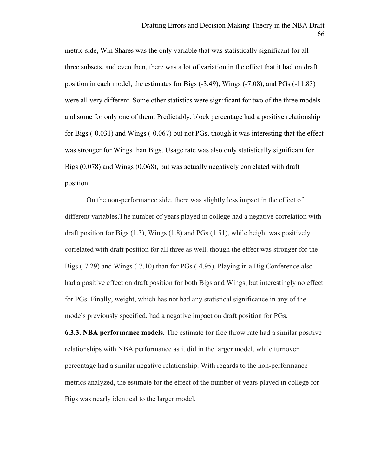metric side, Win Shares was the only variable that was statistically significant for all three subsets, and even then, there was a lot of variation in the effect that it had on draft position in each model; the estimates for Bigs (-3.49), Wings (-7.08), and PGs (-11.83) were all very different. Some other statistics were significant for two of the three models and some for only one of them. Predictably, block percentage had a positive relationship for Bigs (-0.031) and Wings (-0.067) but not PGs, though it was interesting that the effect was stronger for Wings than Bigs. Usage rate was also only statistically significant for Bigs (0.078) and Wings (0.068), but was actually negatively correlated with draft position.

On the non-performance side, there was slightly less impact in the effect of different variables.The number of years played in college had a negative correlation with draft position for Bigs  $(1.3)$ , Wings  $(1.8)$  and PGs  $(1.51)$ , while height was positively correlated with draft position for all three as well, though the effect was stronger for the Bigs (-7.29) and Wings (-7.10) than for PGs (-4.95). Playing in a Big Conference also had a positive effect on draft position for both Bigs and Wings, but interestingly no effect for PGs. Finally, weight, which has not had any statistical significance in any of the models previously specified, had a negative impact on draft position for PGs.

**6.3.3. NBA performance models.** The estimate for free throw rate had a similar positive relationships with NBA performance as it did in the larger model, while turnover percentage had a similar negative relationship. With regards to the non-performance metrics analyzed, the estimate for the effect of the number of years played in college for Bigs was nearly identical to the larger model.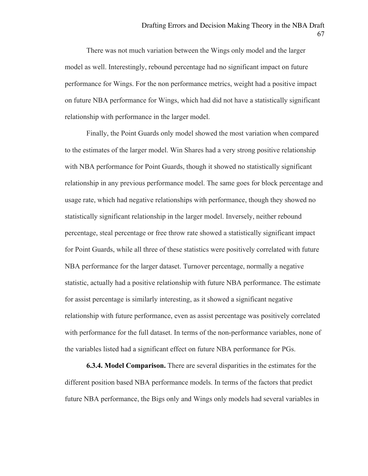There was not much variation between the Wings only model and the larger model as well. Interestingly, rebound percentage had no significant impact on future performance for Wings. For the non performance metrics, weight had a positive impact on future NBA performance for Wings, which had did not have a statistically significant relationship with performance in the larger model.

Finally, the Point Guards only model showed the most variation when compared to the estimates of the larger model. Win Shares had a very strong positive relationship with NBA performance for Point Guards, though it showed no statistically significant relationship in any previous performance model. The same goes for block percentage and usage rate, which had negative relationships with performance, though they showed no statistically significant relationship in the larger model. Inversely, neither rebound percentage, steal percentage or free throw rate showed a statistically significant impact for Point Guards, while all three of these statistics were positively correlated with future NBA performance for the larger dataset. Turnover percentage, normally a negative statistic, actually had a positive relationship with future NBA performance. The estimate for assist percentage is similarly interesting, as it showed a significant negative relationship with future performance, even as assist percentage was positively correlated with performance for the full dataset. In terms of the non-performance variables, none of the variables listed had a significant effect on future NBA performance for PGs.

**6.3.4. Model Comparison.** There are several disparities in the estimates for the different position based NBA performance models. In terms of the factors that predict future NBA performance, the Bigs only and Wings only models had several variables in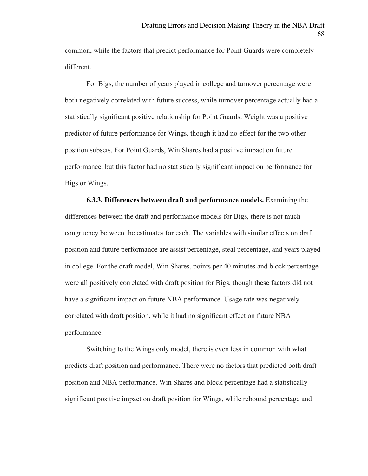common, while the factors that predict performance for Point Guards were completely different.

For Bigs, the number of years played in college and turnover percentage were both negatively correlated with future success, while turnover percentage actually had a statistically significant positive relationship for Point Guards. Weight was a positive predictor of future performance for Wings, though it had no effect for the two other position subsets. For Point Guards, Win Shares had a positive impact on future performance, but this factor had no statistically significant impact on performance for Bigs or Wings.

**6.3.3. Differences between draft and performance models.** Examining the differences between the draft and performance models for Bigs, there is not much congruency between the estimates for each. The variables with similar effects on draft position and future performance are assist percentage, steal percentage, and years played in college. For the draft model, Win Shares, points per 40 minutes and block percentage were all positively correlated with draft position for Bigs, though these factors did not have a significant impact on future NBA performance. Usage rate was negatively correlated with draft position, while it had no significant effect on future NBA performance.

Switching to the Wings only model, there is even less in common with what predicts draft position and performance. There were no factors that predicted both draft position and NBA performance. Win Shares and block percentage had a statistically significant positive impact on draft position for Wings, while rebound percentage and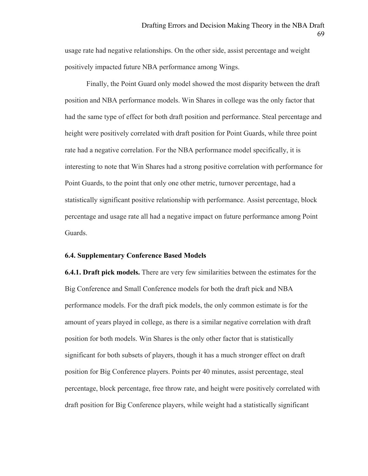usage rate had negative relationships. On the other side, assist percentage and weight positively impacted future NBA performance among Wings.

Finally, the Point Guard only model showed the most disparity between the draft position and NBA performance models. Win Shares in college was the only factor that had the same type of effect for both draft position and performance. Steal percentage and height were positively correlated with draft position for Point Guards, while three point rate had a negative correlation. For the NBA performance model specifically, it is interesting to note that Win Shares had a strong positive correlation with performance for Point Guards, to the point that only one other metric, turnover percentage, had a statistically significant positive relationship with performance. Assist percentage, block percentage and usage rate all had a negative impact on future performance among Point Guards.

# **6.4. Supplementary Conference Based Models**

**6.4.1. Draft pick models.** There are very few similarities between the estimates for the Big Conference and Small Conference models for both the draft pick and NBA performance models. For the draft pick models, the only common estimate is for the amount of years played in college, as there is a similar negative correlation with draft position for both models. Win Shares is the only other factor that is statistically significant for both subsets of players, though it has a much stronger effect on draft position for Big Conference players. Points per 40 minutes, assist percentage, steal percentage, block percentage, free throw rate, and height were positively correlated with draft position for Big Conference players, while weight had a statistically significant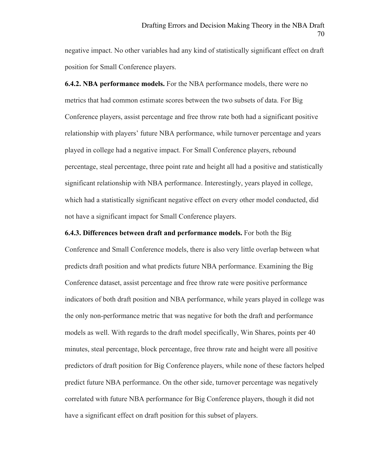negative impact. No other variables had any kind of statistically significant effect on draft position for Small Conference players.

**6.4.2. NBA performance models.** For the NBA performance models, there were no metrics that had common estimate scores between the two subsets of data. For Big Conference players, assist percentage and free throw rate both had a significant positive relationship with players' future NBA performance, while turnover percentage and years played in college had a negative impact. For Small Conference players, rebound percentage, steal percentage, three point rate and height all had a positive and statistically significant relationship with NBA performance. Interestingly, years played in college, which had a statistically significant negative effect on every other model conducted, did not have a significant impact for Small Conference players.

**6.4.3. Differences between draft and performance models.** For both the Big

Conference and Small Conference models, there is also very little overlap between what predicts draft position and what predicts future NBA performance. Examining the Big Conference dataset, assist percentage and free throw rate were positive performance indicators of both draft position and NBA performance, while years played in college was the only non-performance metric that was negative for both the draft and performance models as well. With regards to the draft model specifically, Win Shares, points per 40 minutes, steal percentage, block percentage, free throw rate and height were all positive predictors of draft position for Big Conference players, while none of these factors helped predict future NBA performance. On the other side, turnover percentage was negatively correlated with future NBA performance for Big Conference players, though it did not have a significant effect on draft position for this subset of players.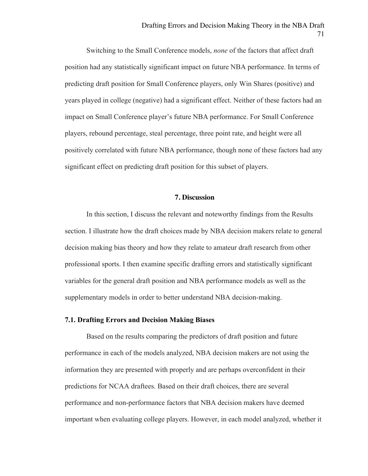Switching to the Small Conference models, *none* of the factors that affect draft position had any statistically significant impact on future NBA performance. In terms of predicting draft position for Small Conference players, only Win Shares (positive) and years played in college (negative) had a significant effect. Neither of these factors had an impact on Small Conference player's future NBA performance. For Small Conference players, rebound percentage, steal percentage, three point rate, and height were all positively correlated with future NBA performance, though none of these factors had any significant effect on predicting draft position for this subset of players.

# **7. Discussion**

In this section, I discuss the relevant and noteworthy findings from the Results section. I illustrate how the draft choices made by NBA decision makers relate to general decision making bias theory and how they relate to amateur draft research from other professional sports. I then examine specific drafting errors and statistically significant variables for the general draft position and NBA performance models as well as the supplementary models in order to better understand NBA decision-making.

# **7.1. Drafting Errors and Decision Making Biases**

Based on the results comparing the predictors of draft position and future performance in each of the models analyzed, NBA decision makers are not using the information they are presented with properly and are perhaps overconfident in their predictions for NCAA draftees. Based on their draft choices, there are several performance and non-performance factors that NBA decision makers have deemed important when evaluating college players. However, in each model analyzed, whether it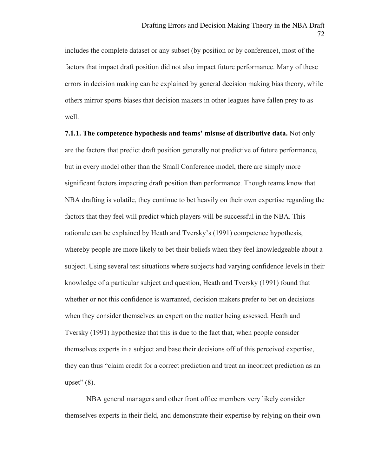includes the complete dataset or any subset (by position or by conference), most of the factors that impact draft position did not also impact future performance. Many of these errors in decision making can be explained by general decision making bias theory, while others mirror sports biases that decision makers in other leagues have fallen prey to as well.

**7.1.1. The competence hypothesis and teams' misuse of distributive data.** Not only are the factors that predict draft position generally not predictive of future performance, but in every model other than the Small Conference model, there are simply more significant factors impacting draft position than performance. Though teams know that NBA drafting is volatile, they continue to bet heavily on their own expertise regarding the factors that they feel will predict which players will be successful in the NBA. This rationale can be explained by Heath and Tversky's (1991) competence hypothesis, whereby people are more likely to bet their beliefs when they feel knowledgeable about a subject. Using several test situations where subjects had varying confidence levels in their knowledge of a particular subject and question, Heath and Tversky (1991) found that whether or not this confidence is warranted, decision makers prefer to bet on decisions when they consider themselves an expert on the matter being assessed. Heath and Tversky (1991) hypothesize that this is due to the fact that, when people consider themselves experts in a subject and base their decisions off of this perceived expertise, they can thus "claim credit for a correct prediction and treat an incorrect prediction as an upset"  $(8)$ .

NBA general managers and other front office members very likely consider themselves experts in their field, and demonstrate their expertise by relying on their own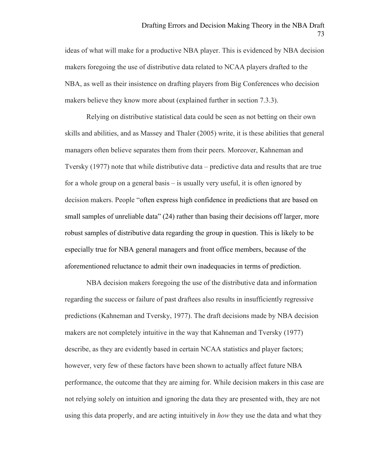ideas of what will make for a productive NBA player. This is evidenced by NBA decision makers foregoing the use of distributive data related to NCAA players drafted to the NBA, as well as their insistence on drafting players from Big Conferences who decision makers believe they know more about (explained further in section 7.3.3).

Relying on distributive statistical data could be seen as not betting on their own skills and abilities, and as Massey and Thaler (2005) write, it is these abilities that general managers often believe separates them from their peers. Moreover, Kahneman and Tversky (1977) note that while distributive data – predictive data and results that are true for a whole group on a general basis – is usually very useful, it is often ignored by decision makers. People "often express high confidence in predictions that are based on small samples of unreliable data" (24) rather than basing their decisions off larger, more robust samples of distributive data regarding the group in question. This is likely to be especially true for NBA general managers and front office members, because of the aforementioned reluctance to admit their own inadequacies in terms of prediction.

NBA decision makers foregoing the use of the distributive data and information regarding the success or failure of past draftees also results in insufficiently regressive predictions (Kahneman and Tversky, 1977). The draft decisions made by NBA decision makers are not completely intuitive in the way that Kahneman and Tversky (1977) describe, as they are evidently based in certain NCAA statistics and player factors; however, very few of these factors have been shown to actually affect future NBA performance, the outcome that they are aiming for. While decision makers in this case are not relying solely on intuition and ignoring the data they are presented with, they are not using this data properly, and are acting intuitively in *how* they use the data and what they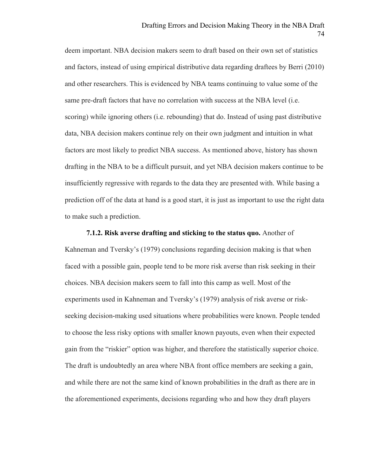deem important. NBA decision makers seem to draft based on their own set of statistics and factors, instead of using empirical distributive data regarding draftees by Berri (2010) and other researchers. This is evidenced by NBA teams continuing to value some of the same pre-draft factors that have no correlation with success at the NBA level (i.e. scoring) while ignoring others (i.e. rebounding) that do. Instead of using past distributive data, NBA decision makers continue rely on their own judgment and intuition in what factors are most likely to predict NBA success. As mentioned above, history has shown drafting in the NBA to be a difficult pursuit, and yet NBA decision makers continue to be insufficiently regressive with regards to the data they are presented with. While basing a prediction off of the data at hand is a good start, it is just as important to use the right data to make such a prediction.

**7.1.2. Risk averse drafting and sticking to the status quo.** Another of Kahneman and Tversky's (1979) conclusions regarding decision making is that when faced with a possible gain, people tend to be more risk averse than risk seeking in their choices. NBA decision makers seem to fall into this camp as well. Most of the experiments used in Kahneman and Tversky's (1979) analysis of risk averse or riskseeking decision-making used situations where probabilities were known. People tended to choose the less risky options with smaller known payouts, even when their expected gain from the "riskier" option was higher, and therefore the statistically superior choice. The draft is undoubtedly an area where NBA front office members are seeking a gain, and while there are not the same kind of known probabilities in the draft as there are in the aforementioned experiments, decisions regarding who and how they draft players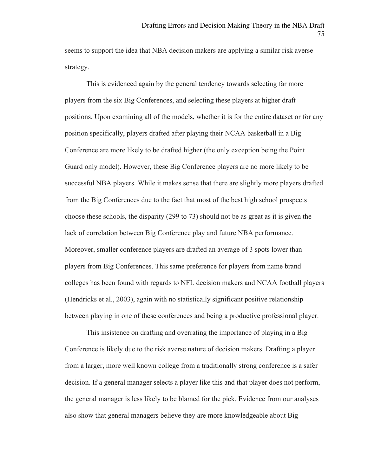seems to support the idea that NBA decision makers are applying a similar risk averse strategy.

This is evidenced again by the general tendency towards selecting far more players from the six Big Conferences, and selecting these players at higher draft positions. Upon examining all of the models, whether it is for the entire dataset or for any position specifically, players drafted after playing their NCAA basketball in a Big Conference are more likely to be drafted higher (the only exception being the Point Guard only model). However, these Big Conference players are no more likely to be successful NBA players. While it makes sense that there are slightly more players drafted from the Big Conferences due to the fact that most of the best high school prospects choose these schools, the disparity (299 to 73) should not be as great as it is given the lack of correlation between Big Conference play and future NBA performance. Moreover, smaller conference players are drafted an average of 3 spots lower than players from Big Conferences. This same preference for players from name brand colleges has been found with regards to NFL decision makers and NCAA football players (Hendricks et al., 2003), again with no statistically significant positive relationship between playing in one of these conferences and being a productive professional player.

This insistence on drafting and overrating the importance of playing in a Big Conference is likely due to the risk averse nature of decision makers. Drafting a player from a larger, more well known college from a traditionally strong conference is a safer decision. If a general manager selects a player like this and that player does not perform, the general manager is less likely to be blamed for the pick. Evidence from our analyses also show that general managers believe they are more knowledgeable about Big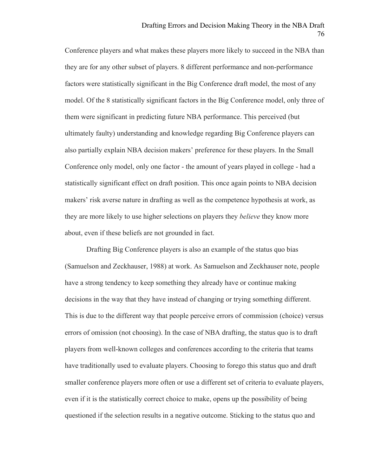Conference players and what makes these players more likely to succeed in the NBA than they are for any other subset of players. 8 different performance and non-performance factors were statistically significant in the Big Conference draft model, the most of any model. Of the 8 statistically significant factors in the Big Conference model, only three of them were significant in predicting future NBA performance. This perceived (but ultimately faulty) understanding and knowledge regarding Big Conference players can also partially explain NBA decision makers' preference for these players. In the Small Conference only model, only one factor - the amount of years played in college - had a statistically significant effect on draft position. This once again points to NBA decision makers' risk averse nature in drafting as well as the competence hypothesis at work, as they are more likely to use higher selections on players they *believe* they know more about, even if these beliefs are not grounded in fact.

Drafting Big Conference players is also an example of the status quo bias (Samuelson and Zeckhauser, 1988) at work. As Samuelson and Zeckhauser note, people have a strong tendency to keep something they already have or continue making decisions in the way that they have instead of changing or trying something different. This is due to the different way that people perceive errors of commission (choice) versus errors of omission (not choosing). In the case of NBA drafting, the status quo is to draft players from well-known colleges and conferences according to the criteria that teams have traditionally used to evaluate players. Choosing to forego this status quo and draft smaller conference players more often or use a different set of criteria to evaluate players, even if it is the statistically correct choice to make, opens up the possibility of being questioned if the selection results in a negative outcome. Sticking to the status quo and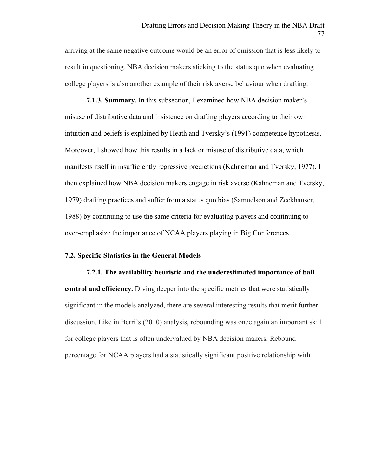arriving at the same negative outcome would be an error of omission that is less likely to result in questioning. NBA decision makers sticking to the status quo when evaluating college players is also another example of their risk averse behaviour when drafting.

**7.1.3. Summary.** In this subsection, I examined how NBA decision maker's misuse of distributive data and insistence on drafting players according to their own intuition and beliefs is explained by Heath and Tversky's (1991) competence hypothesis. Moreover, I showed how this results in a lack or misuse of distributive data, which manifests itself in insufficiently regressive predictions (Kahneman and Tversky, 1977). I then explained how NBA decision makers engage in risk averse (Kahneman and Tversky, 1979) drafting practices and suffer from a status quo bias (Samuelson and Zeckhauser, 1988) by continuing to use the same criteria for evaluating players and continuing to over-emphasize the importance of NCAA players playing in Big Conferences.

# **7.2. Specific Statistics in the General Models**

**7.2.1. The availability heuristic and the underestimated importance of ball control and efficiency.** Diving deeper into the specific metrics that were statistically significant in the models analyzed, there are several interesting results that merit further discussion. Like in Berri's (2010) analysis, rebounding was once again an important skill for college players that is often undervalued by NBA decision makers. Rebound percentage for NCAA players had a statistically significant positive relationship with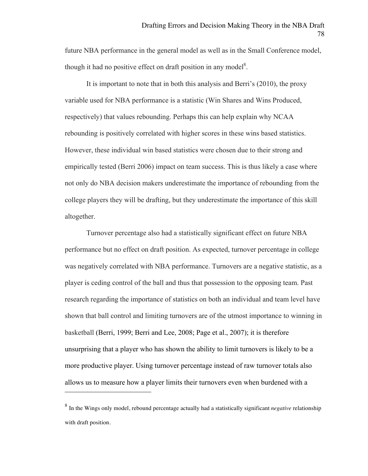future NBA performance in the general model as well as in the Small Conference model, though it had no positive effect on draft position in any model<sup>8</sup>.

It is important to note that in both this analysis and Berri's (2010), the proxy variable used for NBA performance is a statistic (Win Shares and Wins Produced, respectively) that values rebounding. Perhaps this can help explain why NCAA rebounding is positively correlated with higher scores in these wins based statistics. However, these individual win based statistics were chosen due to their strong and empirically tested (Berri 2006) impact on team success. This is thus likely a case where not only do NBA decision makers underestimate the importance of rebounding from the college players they will be drafting, but they underestimate the importance of this skill altogether.

Turnover percentage also had a statistically significant effect on future NBA performance but no effect on draft position. As expected, turnover percentage in college was negatively correlated with NBA performance. Turnovers are a negative statistic, as a player is ceding control of the ball and thus that possession to the opposing team. Past research regarding the importance of statistics on both an individual and team level have shown that ball control and limiting turnovers are of the utmost importance to winning in basketball (Berri, 1999; Berri and Lee, 2008; Page et al., 2007); it is therefore unsurprising that a player who has shown the ability to limit turnovers is likely to be a more productive player. Using turnover percentage instead of raw turnover totals also allows us to measure how a player limits their turnovers even when burdened with a

 $\overline{a}$ 

<sup>8</sup> In the Wings only model, rebound percentage actually had a statistically significant *negative* relationship with draft position.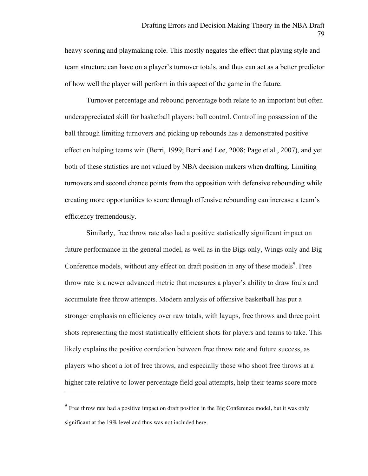heavy scoring and playmaking role. This mostly negates the effect that playing style and team structure can have on a player's turnover totals, and thus can act as a better predictor of how well the player will perform in this aspect of the game in the future.

Turnover percentage and rebound percentage both relate to an important but often underappreciated skill for basketball players: ball control. Controlling possession of the ball through limiting turnovers and picking up rebounds has a demonstrated positive effect on helping teams win (Berri, 1999; Berri and Lee, 2008; Page et al., 2007), and yet both of these statistics are not valued by NBA decision makers when drafting. Limiting turnovers and second chance points from the opposition with defensive rebounding while creating more opportunities to score through offensive rebounding can increase a team's efficiency tremendously.

Similarly, free throw rate also had a positive statistically significant impact on future performance in the general model, as well as in the Bigs only, Wings only and Big Conference models, without any effect on draft position in any of these models<sup>9</sup>. Free throw rate is a newer advanced metric that measures a player's ability to draw fouls and accumulate free throw attempts. Modern analysis of offensive basketball has put a stronger emphasis on efficiency over raw totals, with layups, free throws and three point shots representing the most statistically efficient shots for players and teams to take. This likely explains the positive correlation between free throw rate and future success, as players who shoot a lot of free throws, and especially those who shoot free throws at a higher rate relative to lower percentage field goal attempts, help their teams score more

 $\overline{a}$ 

<sup>&</sup>lt;sup>9</sup> Free throw rate had a positive impact on draft position in the Big Conference model, but it was only significant at the 19% level and thus was not included here.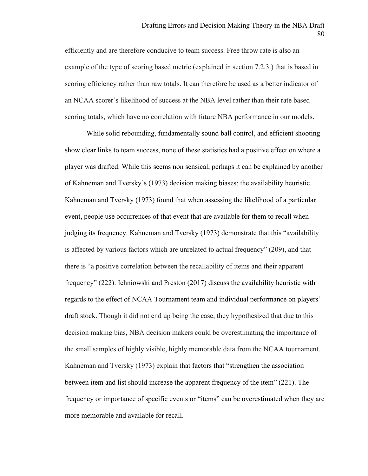efficiently and are therefore conducive to team success. Free throw rate is also an example of the type of scoring based metric (explained in section 7.2.3.) that is based in scoring efficiency rather than raw totals. It can therefore be used as a better indicator of an NCAA scorer's likelihood of success at the NBA level rather than their rate based scoring totals, which have no correlation with future NBA performance in our models.

While solid rebounding, fundamentally sound ball control, and efficient shooting show clear links to team success, none of these statistics had a positive effect on where a player was drafted. While this seems non sensical, perhaps it can be explained by another of Kahneman and Tversky's (1973) decision making biases: the availability heuristic. Kahneman and Tversky (1973) found that when assessing the likelihood of a particular event, people use occurrences of that event that are available for them to recall when judging its frequency. Kahneman and Tversky (1973) demonstrate that this "availability is affected by various factors which are unrelated to actual frequency" (209), and that there is "a positive correlation between the recallability of items and their apparent frequency" (222). Ichniowski and Preston (2017) discuss the availability heuristic with regards to the effect of NCAA Tournament team and individual performance on players' draft stock. Though it did not end up being the case, they hypothesized that due to this decision making bias, NBA decision makers could be overestimating the importance of the small samples of highly visible, highly memorable data from the NCAA tournament. Kahneman and Tversky (1973) explain that factors that "strengthen the association between item and list should increase the apparent frequency of the item" (221). The frequency or importance of specific events or "items" can be overestimated when they are more memorable and available for recall.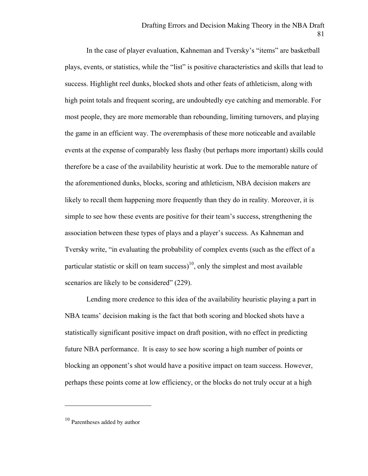In the case of player evaluation, Kahneman and Tversky's "items" are basketball plays, events, or statistics, while the "list" is positive characteristics and skills that lead to success. Highlight reel dunks, blocked shots and other feats of athleticism, along with high point totals and frequent scoring, are undoubtedly eye catching and memorable. For most people, they are more memorable than rebounding, limiting turnovers, and playing the game in an efficient way. The overemphasis of these more noticeable and available events at the expense of comparably less flashy (but perhaps more important) skills could therefore be a case of the availability heuristic at work. Due to the memorable nature of the aforementioned dunks, blocks, scoring and athleticism, NBA decision makers are likely to recall them happening more frequently than they do in reality. Moreover, it is simple to see how these events are positive for their team's success, strengthening the association between these types of plays and a player's success. As Kahneman and Tversky write, "in evaluating the probability of complex events (such as the effect of a particular statistic or skill on team success)<sup>10</sup>, only the simplest and most available scenarios are likely to be considered" (229).

Lending more credence to this idea of the availability heuristic playing a part in NBA teams' decision making is the fact that both scoring and blocked shots have a statistically significant positive impact on draft position, with no effect in predicting future NBA performance. It is easy to see how scoring a high number of points or blocking an opponent's shot would have a positive impact on team success. However, perhaps these points come at low efficiency, or the blocks do not truly occur at a high

 $\overline{a}$ 

<sup>10</sup> Parentheses added by author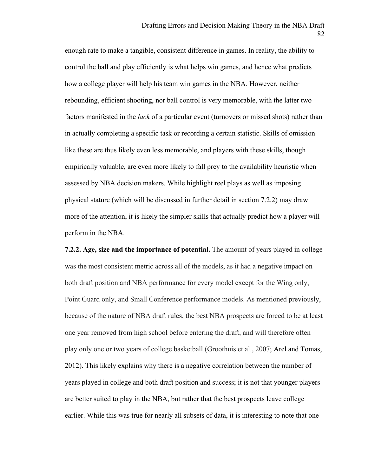enough rate to make a tangible, consistent difference in games. In reality, the ability to control the ball and play efficiently is what helps win games, and hence what predicts how a college player will help his team win games in the NBA. However, neither rebounding, efficient shooting, nor ball control is very memorable, with the latter two factors manifested in the *lack* of a particular event (turnovers or missed shots) rather than in actually completing a specific task or recording a certain statistic. Skills of omission like these are thus likely even less memorable, and players with these skills, though empirically valuable, are even more likely to fall prey to the availability heuristic when assessed by NBA decision makers. While highlight reel plays as well as imposing physical stature (which will be discussed in further detail in section 7.2.2) may draw more of the attention, it is likely the simpler skills that actually predict how a player will perform in the NBA.

**7.2.2. Age, size and the importance of potential.** The amount of years played in college was the most consistent metric across all of the models, as it had a negative impact on both draft position and NBA performance for every model except for the Wing only, Point Guard only, and Small Conference performance models. As mentioned previously, because of the nature of NBA draft rules, the best NBA prospects are forced to be at least one year removed from high school before entering the draft, and will therefore often play only one or two years of college basketball (Groothuis et al., 2007; Arel and Tomas, 2012). This likely explains why there is a negative correlation between the number of years played in college and both draft position and success; it is not that younger players are better suited to play in the NBA, but rather that the best prospects leave college earlier. While this was true for nearly all subsets of data, it is interesting to note that one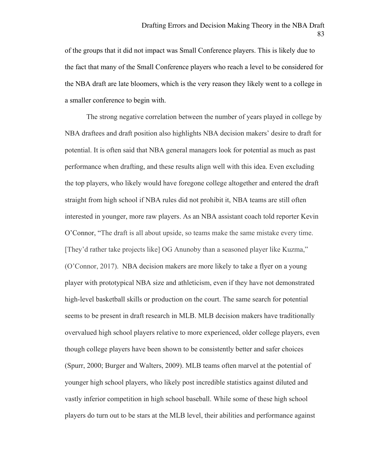of the groups that it did not impact was Small Conference players. This is likely due to the fact that many of the Small Conference players who reach a level to be considered for the NBA draft are late bloomers, which is the very reason they likely went to a college in a smaller conference to begin with.

The strong negative correlation between the number of years played in college by NBA draftees and draft position also highlights NBA decision makers' desire to draft for potential. It is often said that NBA general managers look for potential as much as past performance when drafting, and these results align well with this idea. Even excluding the top players, who likely would have foregone college altogether and entered the draft straight from high school if NBA rules did not prohibit it, NBA teams are still often interested in younger, more raw players. As an NBA assistant coach told reporter Kevin O'Connor, "The draft is all about upside, so teams make the same mistake every time. [They'd rather take projects like] OG Anunoby than a seasoned player like Kuzma," (O'Connor, 2017). NBA decision makers are more likely to take a flyer on a young player with prototypical NBA size and athleticism, even if they have not demonstrated high-level basketball skills or production on the court. The same search for potential seems to be present in draft research in MLB. MLB decision makers have traditionally overvalued high school players relative to more experienced, older college players, even though college players have been shown to be consistently better and safer choices (Spurr, 2000; Burger and Walters, 2009). MLB teams often marvel at the potential of younger high school players, who likely post incredible statistics against diluted and vastly inferior competition in high school baseball. While some of these high school players do turn out to be stars at the MLB level, their abilities and performance against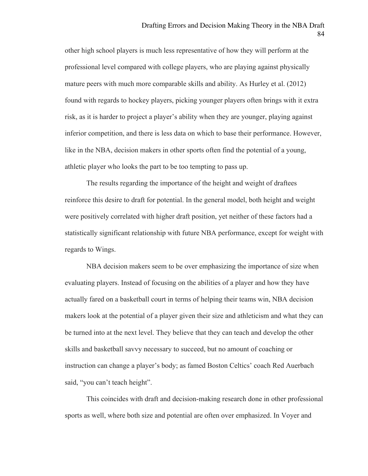other high school players is much less representative of how they will perform at the professional level compared with college players, who are playing against physically mature peers with much more comparable skills and ability. As Hurley et al. (2012) found with regards to hockey players, picking younger players often brings with it extra risk, as it is harder to project a player's ability when they are younger, playing against inferior competition, and there is less data on which to base their performance. However, like in the NBA, decision makers in other sports often find the potential of a young, athletic player who looks the part to be too tempting to pass up.

The results regarding the importance of the height and weight of draftees reinforce this desire to draft for potential. In the general model, both height and weight were positively correlated with higher draft position, yet neither of these factors had a statistically significant relationship with future NBA performance, except for weight with regards to Wings.

NBA decision makers seem to be over emphasizing the importance of size when evaluating players. Instead of focusing on the abilities of a player and how they have actually fared on a basketball court in terms of helping their teams win, NBA decision makers look at the potential of a player given their size and athleticism and what they can be turned into at the next level. They believe that they can teach and develop the other skills and basketball savvy necessary to succeed, but no amount of coaching or instruction can change a player's body; as famed Boston Celtics' coach Red Auerbach said, "you can't teach height".

This coincides with draft and decision-making research done in other professional sports as well, where both size and potential are often over emphasized. In Voyer and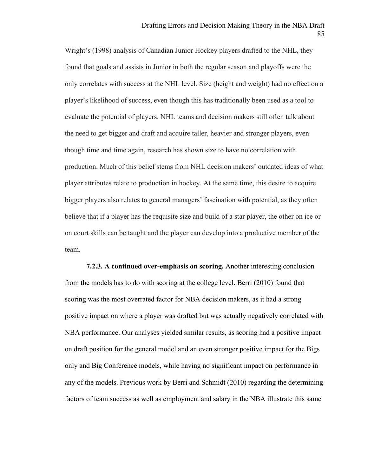Wright's (1998) analysis of Canadian Junior Hockey players drafted to the NHL, they found that goals and assists in Junior in both the regular season and playoffs were the only correlates with success at the NHL level. Size (height and weight) had no effect on a player's likelihood of success, even though this has traditionally been used as a tool to evaluate the potential of players. NHL teams and decision makers still often talk about the need to get bigger and draft and acquire taller, heavier and stronger players, even though time and time again, research has shown size to have no correlation with production. Much of this belief stems from NHL decision makers' outdated ideas of what player attributes relate to production in hockey. At the same time, this desire to acquire bigger players also relates to general managers' fascination with potential, as they often believe that if a player has the requisite size and build of a star player, the other on ice or on court skills can be taught and the player can develop into a productive member of the team.

**7.2.3. A continued over-emphasis on scoring.** Another interesting conclusion from the models has to do with scoring at the college level. Berri (2010) found that scoring was the most overrated factor for NBA decision makers, as it had a strong positive impact on where a player was drafted but was actually negatively correlated with NBA performance. Our analyses yielded similar results, as scoring had a positive impact on draft position for the general model and an even stronger positive impact for the Bigs only and Big Conference models, while having no significant impact on performance in any of the models. Previous work by Berri and Schmidt (2010) regarding the determining factors of team success as well as employment and salary in the NBA illustrate this same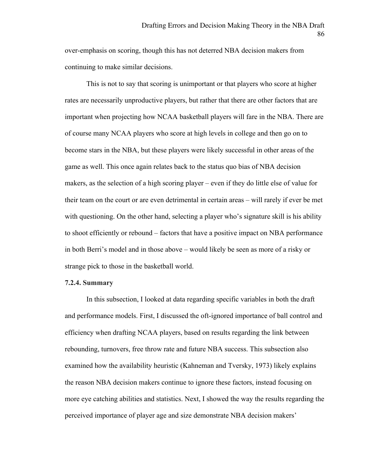over-emphasis on scoring, though this has not deterred NBA decision makers from continuing to make similar decisions.

This is not to say that scoring is unimportant or that players who score at higher rates are necessarily unproductive players, but rather that there are other factors that are important when projecting how NCAA basketball players will fare in the NBA. There are of course many NCAA players who score at high levels in college and then go on to become stars in the NBA, but these players were likely successful in other areas of the game as well. This once again relates back to the status quo bias of NBA decision makers, as the selection of a high scoring player – even if they do little else of value for their team on the court or are even detrimental in certain areas – will rarely if ever be met with questioning. On the other hand, selecting a player who's signature skill is his ability to shoot efficiently or rebound – factors that have a positive impact on NBA performance in both Berri's model and in those above – would likely be seen as more of a risky or strange pick to those in the basketball world.

#### **7.2.4. Summary**

In this subsection, I looked at data regarding specific variables in both the draft and performance models. First, I discussed the oft-ignored importance of ball control and efficiency when drafting NCAA players, based on results regarding the link between rebounding, turnovers, free throw rate and future NBA success. This subsection also examined how the availability heuristic (Kahneman and Tversky, 1973) likely explains the reason NBA decision makers continue to ignore these factors, instead focusing on more eye catching abilities and statistics. Next, I showed the way the results regarding the perceived importance of player age and size demonstrate NBA decision makers'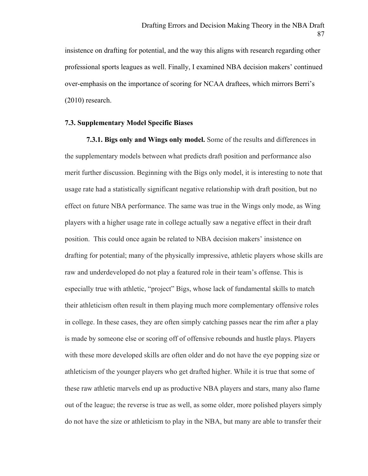insistence on drafting for potential, and the way this aligns with research regarding other professional sports leagues as well. Finally, I examined NBA decision makers' continued over-emphasis on the importance of scoring for NCAA draftees, which mirrors Berri's (2010) research.

# **7.3. Supplementary Model Specific Biases**

**7.3.1. Bigs only and Wings only model.** Some of the results and differences in the supplementary models between what predicts draft position and performance also merit further discussion. Beginning with the Bigs only model, it is interesting to note that usage rate had a statistically significant negative relationship with draft position, but no effect on future NBA performance. The same was true in the Wings only mode, as Wing players with a higher usage rate in college actually saw a negative effect in their draft position. This could once again be related to NBA decision makers' insistence on drafting for potential; many of the physically impressive, athletic players whose skills are raw and underdeveloped do not play a featured role in their team's offense. This is especially true with athletic, "project" Bigs, whose lack of fundamental skills to match their athleticism often result in them playing much more complementary offensive roles in college. In these cases, they are often simply catching passes near the rim after a play is made by someone else or scoring off of offensive rebounds and hustle plays. Players with these more developed skills are often older and do not have the eye popping size or athleticism of the younger players who get drafted higher. While it is true that some of these raw athletic marvels end up as productive NBA players and stars, many also flame out of the league; the reverse is true as well, as some older, more polished players simply do not have the size or athleticism to play in the NBA, but many are able to transfer their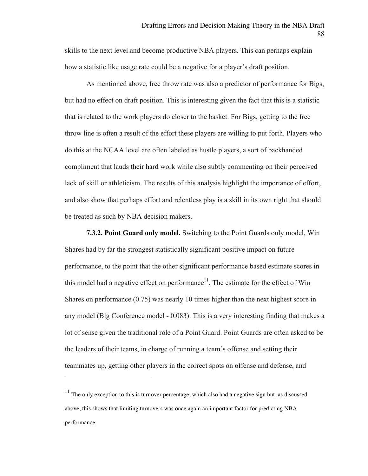skills to the next level and become productive NBA players. This can perhaps explain how a statistic like usage rate could be a negative for a player's draft position.

As mentioned above, free throw rate was also a predictor of performance for Bigs, but had no effect on draft position. This is interesting given the fact that this is a statistic that is related to the work players do closer to the basket. For Bigs, getting to the free throw line is often a result of the effort these players are willing to put forth. Players who do this at the NCAA level are often labeled as hustle players, a sort of backhanded compliment that lauds their hard work while also subtly commenting on their perceived lack of skill or athleticism. The results of this analysis highlight the importance of effort, and also show that perhaps effort and relentless play is a skill in its own right that should be treated as such by NBA decision makers.

**7.3.2. Point Guard only model.** Switching to the Point Guards only model, Win Shares had by far the strongest statistically significant positive impact on future performance, to the point that the other significant performance based estimate scores in this model had a negative effect on performance<sup>11</sup>. The estimate for the effect of Win Shares on performance (0.75) was nearly 10 times higher than the next highest score in any model (Big Conference model - 0.083). This is a very interesting finding that makes a lot of sense given the traditional role of a Point Guard. Point Guards are often asked to be the leaders of their teams, in charge of running a team's offense and setting their teammates up, getting other players in the correct spots on offense and defense, and

 $\overline{a}$ 

 $11$  The only exception to this is turnover percentage, which also had a negative sign but, as discussed above, this shows that limiting turnovers was once again an important factor for predicting NBA performance.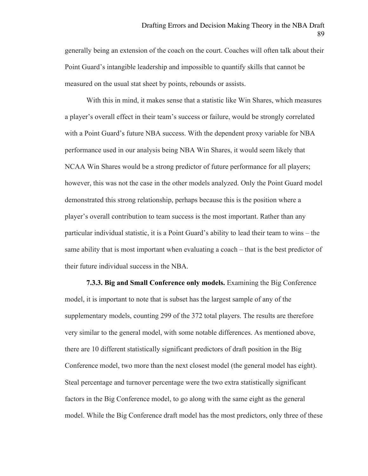generally being an extension of the coach on the court. Coaches will often talk about their Point Guard's intangible leadership and impossible to quantify skills that cannot be measured on the usual stat sheet by points, rebounds or assists.

With this in mind, it makes sense that a statistic like Win Shares, which measures a player's overall effect in their team's success or failure, would be strongly correlated with a Point Guard's future NBA success. With the dependent proxy variable for NBA performance used in our analysis being NBA Win Shares, it would seem likely that NCAA Win Shares would be a strong predictor of future performance for all players; however, this was not the case in the other models analyzed. Only the Point Guard model demonstrated this strong relationship, perhaps because this is the position where a player's overall contribution to team success is the most important. Rather than any particular individual statistic, it is a Point Guard's ability to lead their team to wins – the same ability that is most important when evaluating a coach – that is the best predictor of their future individual success in the NBA.

**7.3.3. Big and Small Conference only models.** Examining the Big Conference model, it is important to note that is subset has the largest sample of any of the supplementary models, counting 299 of the 372 total players. The results are therefore very similar to the general model, with some notable differences. As mentioned above, there are 10 different statistically significant predictors of draft position in the Big Conference model, two more than the next closest model (the general model has eight). Steal percentage and turnover percentage were the two extra statistically significant factors in the Big Conference model, to go along with the same eight as the general model. While the Big Conference draft model has the most predictors, only three of these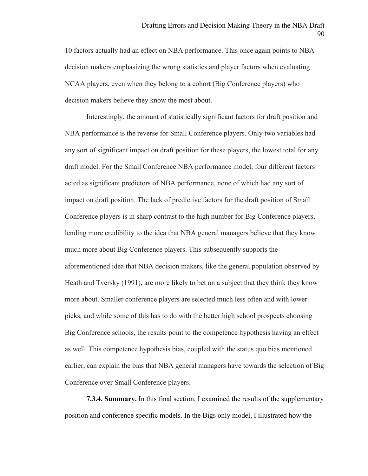10 factors actually had an effect on NBA performance. This once again points to NBA decision makers emphasizing the wrong statistics and player factors when evaluating NCAA players, even when they belong to a cohort (Big Conference players) who decision makers believe they know the most about.

Interestingly, the amount of statistically significant factors for draft position and NBA performance is the reverse for Small Conference players. Only two variables had any sort of significant impact on draft position for these players, the lowest total for any draft model. For the Small Conference NBA performance model, four different factors acted as significant predictors of NBA performance, none of which had any sort of impact on draft position. The lack of predictive factors for the draft position of Small Conference players is in sharp contrast to the high number for Big Conference players, lending more credibility to the idea that NBA general managers believe that they know much more about Big Conference players. This subsequently supports the aforementioned idea that NBA decision makers, like the general population observed by Heath and Tversky (1991), are more likely to bet on a subject that they think they know more about. Smaller conference players are selected much less often and with lower picks, and while some of this has to do with the better high school prospects choosing Big Conference schools, the results point to the competence hypothesis having an effect as well. This competence hypothesis bias, coupled with the status quo bias mentioned earlier, can explain the bias that NBA general managers have towards the selection of Big Conference over Small Conference players.

**7.3.4. Summary.** In this final section, I examined the results of the supplementary position and conference specific models. In the Bigs only model, I illustrated how the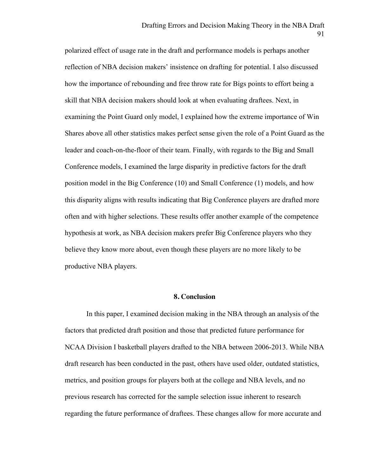polarized effect of usage rate in the draft and performance models is perhaps another reflection of NBA decision makers' insistence on drafting for potential. I also discussed how the importance of rebounding and free throw rate for Bigs points to effort being a skill that NBA decision makers should look at when evaluating draftees. Next, in examining the Point Guard only model, I explained how the extreme importance of Win Shares above all other statistics makes perfect sense given the role of a Point Guard as the leader and coach-on-the-floor of their team. Finally, with regards to the Big and Small Conference models, I examined the large disparity in predictive factors for the draft position model in the Big Conference (10) and Small Conference (1) models, and how this disparity aligns with results indicating that Big Conference players are drafted more often and with higher selections. These results offer another example of the competence hypothesis at work, as NBA decision makers prefer Big Conference players who they believe they know more about, even though these players are no more likely to be productive NBA players.

# **8. Conclusion**

In this paper, I examined decision making in the NBA through an analysis of the factors that predicted draft position and those that predicted future performance for NCAA Division I basketball players drafted to the NBA between 2006-2013. While NBA draft research has been conducted in the past, others have used older, outdated statistics, metrics, and position groups for players both at the college and NBA levels, and no previous research has corrected for the sample selection issue inherent to research regarding the future performance of draftees. These changes allow for more accurate and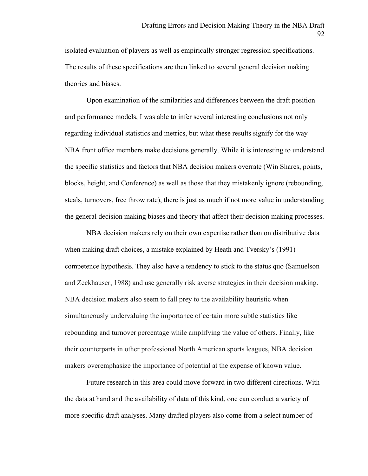isolated evaluation of players as well as empirically stronger regression specifications. The results of these specifications are then linked to several general decision making theories and biases.

Upon examination of the similarities and differences between the draft position and performance models, I was able to infer several interesting conclusions not only regarding individual statistics and metrics, but what these results signify for the way NBA front office members make decisions generally. While it is interesting to understand the specific statistics and factors that NBA decision makers overrate (Win Shares, points, blocks, height, and Conference) as well as those that they mistakenly ignore (rebounding, steals, turnovers, free throw rate), there is just as much if not more value in understanding the general decision making biases and theory that affect their decision making processes.

NBA decision makers rely on their own expertise rather than on distributive data when making draft choices, a mistake explained by Heath and Tversky's (1991) competence hypothesis. They also have a tendency to stick to the status quo (Samuelson and Zeckhauser, 1988) and use generally risk averse strategies in their decision making. NBA decision makers also seem to fall prey to the availability heuristic when simultaneously undervaluing the importance of certain more subtle statistics like rebounding and turnover percentage while amplifying the value of others. Finally, like their counterparts in other professional North American sports leagues, NBA decision makers overemphasize the importance of potential at the expense of known value.

Future research in this area could move forward in two different directions. With the data at hand and the availability of data of this kind, one can conduct a variety of more specific draft analyses. Many drafted players also come from a select number of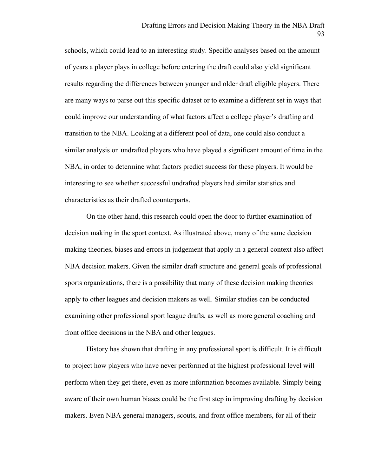schools, which could lead to an interesting study. Specific analyses based on the amount of years a player plays in college before entering the draft could also yield significant results regarding the differences between younger and older draft eligible players. There are many ways to parse out this specific dataset or to examine a different set in ways that could improve our understanding of what factors affect a college player's drafting and transition to the NBA. Looking at a different pool of data, one could also conduct a similar analysis on undrafted players who have played a significant amount of time in the NBA, in order to determine what factors predict success for these players. It would be interesting to see whether successful undrafted players had similar statistics and characteristics as their drafted counterparts.

On the other hand, this research could open the door to further examination of decision making in the sport context. As illustrated above, many of the same decision making theories, biases and errors in judgement that apply in a general context also affect NBA decision makers. Given the similar draft structure and general goals of professional sports organizations, there is a possibility that many of these decision making theories apply to other leagues and decision makers as well. Similar studies can be conducted examining other professional sport league drafts, as well as more general coaching and front office decisions in the NBA and other leagues.

History has shown that drafting in any professional sport is difficult. It is difficult to project how players who have never performed at the highest professional level will perform when they get there, even as more information becomes available. Simply being aware of their own human biases could be the first step in improving drafting by decision makers. Even NBA general managers, scouts, and front office members, for all of their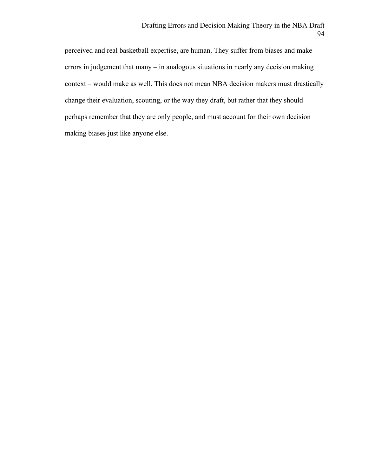perceived and real basketball expertise, are human. They suffer from biases and make errors in judgement that many – in analogous situations in nearly any decision making context – would make as well. This does not mean NBA decision makers must drastically change their evaluation, scouting, or the way they draft, but rather that they should perhaps remember that they are only people, and must account for their own decision making biases just like anyone else.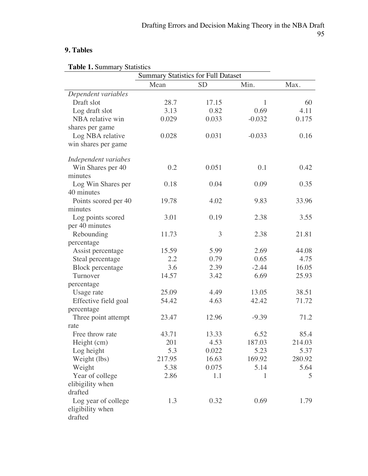# **9. Tables**

|  | <b>Table 1. Summary Statistics</b> |  |
|--|------------------------------------|--|
|--|------------------------------------|--|

|                         | <b>Summary Statistics for Full Dataset</b> |           |          |        |
|-------------------------|--------------------------------------------|-----------|----------|--------|
|                         | Mean                                       | <b>SD</b> | Min.     | Max.   |
| Dependent variables     |                                            |           |          |        |
| Draft slot              | 28.7                                       | 17.15     | 1        | 60     |
| Log draft slot          | 3.13                                       | 0.82      | 0.69     | 4.11   |
| NBA relative win        | 0.029                                      | 0.033     | $-0.032$ | 0.175  |
| shares per game         |                                            |           |          |        |
| Log NBA relative        | 0.028                                      | 0.031     | $-0.033$ | 0.16   |
| win shares per game     |                                            |           |          |        |
| Independent variabes    |                                            |           |          |        |
| Win Shares per 40       | 0.2                                        | 0.051     | 0.1      | 0.42   |
| minutes                 |                                            |           |          |        |
| Log Win Shares per      | 0.18                                       | 0.04      | 0.09     | 0.35   |
| 40 minutes              |                                            |           |          |        |
| Points scored per 40    | 19.78                                      | 4.02      | 9.83     | 33.96  |
| minutes                 |                                            |           |          |        |
| Log points scored       | 3.01                                       | 0.19      | 2.38     | 3.55   |
| per 40 minutes          |                                            |           |          |        |
| Rebounding              | 11.73                                      | 3         | 2.38     | 21.81  |
| percentage              |                                            |           |          |        |
| Assist percentage       | 15.59                                      | 5.99      | 2.69     | 44.08  |
| Steal percentage        | 2.2                                        | 0.79      | 0.65     | 4.75   |
| <b>Block</b> percentage | 3.6                                        | 2.39      | $-2.44$  | 16.05  |
| Turnover                | 14.57                                      | 3.42      | 6.69     | 25.93  |
| percentage              |                                            |           |          |        |
| Usage rate              | 25.09                                      | 4.49      | 13.05    | 38.51  |
| Effective field goal    | 54.42                                      | 4.63      | 42.42    | 71.72  |
| percentage              |                                            |           |          |        |
| Three point attempt     | 23.47                                      | 12.96     | $-9.39$  | 71.2   |
| rate                    |                                            |           |          |        |
| Free throw rate         | 43.71                                      | 13.33     | 6.52     | 85.4   |
| Height (cm)             | 201                                        | 4.53      | 187.03   | 214.03 |
| Log height              | 5.3                                        | 0.022     | 5.23     | 5.37   |
| Weight (lbs)            | 217.95                                     | 16.63     | 169.92   | 280.92 |
| Weight                  | 5.38                                       | 0.075     | 5.14     | 5.64   |
| Year of college         | 2.86                                       | 1.1       | 1        | 5      |
| elibigility when        |                                            |           |          |        |
| drafted                 |                                            |           |          |        |
| Log year of college     | 1.3                                        | 0.32      | 0.69     | 1.79   |
| eligibility when        |                                            |           |          |        |
| drafted                 |                                            |           |          |        |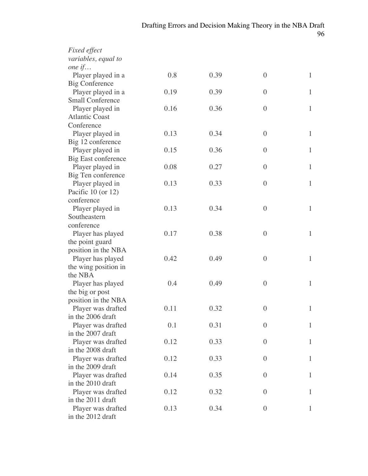| <b>Fixed effect</b>        |      |      |                  |              |
|----------------------------|------|------|------------------|--------------|
| variables, equal to        |      |      |                  |              |
| one $if$                   |      |      |                  |              |
| Player played in a         | 0.8  | 0.39 | $\boldsymbol{0}$ | $\mathbf{1}$ |
| <b>Big Conference</b>      |      |      |                  |              |
| Player played in a         | 0.19 | 0.39 | $\boldsymbol{0}$ | $\mathbf{1}$ |
| <b>Small Conference</b>    |      |      |                  |              |
| Player played in           | 0.16 | 0.36 | $\boldsymbol{0}$ | $\mathbf{1}$ |
| <b>Atlantic Coast</b>      |      |      |                  |              |
| Conference                 |      |      |                  |              |
| Player played in           | 0.13 | 0.34 | $\boldsymbol{0}$ | $\mathbf{1}$ |
| Big 12 conference          |      |      |                  |              |
| Player played in           | 0.15 | 0.36 | $\boldsymbol{0}$ | $\mathbf{1}$ |
| <b>Big East conference</b> |      |      |                  |              |
| Player played in           | 0.08 | 0.27 | $\overline{0}$   | $\mathbf{1}$ |
| Big Ten conference         |      |      |                  |              |
| Player played in           | 0.13 | 0.33 | $\boldsymbol{0}$ | $\mathbf{1}$ |
| Pacific $10$ (or $12$ )    |      |      |                  |              |
| conference                 |      |      |                  |              |
| Player played in           | 0.13 | 0.34 | $\boldsymbol{0}$ | $\mathbf{1}$ |
| Southeastern               |      |      |                  |              |
| conference                 |      |      |                  |              |
| Player has played          | 0.17 | 0.38 | $\boldsymbol{0}$ | $\mathbf{1}$ |
| the point guard            |      |      |                  |              |
| position in the NBA        |      |      |                  |              |
| Player has played          | 0.42 | 0.49 | $\boldsymbol{0}$ | 1            |
| the wing position in       |      |      |                  |              |
| the NBA                    |      |      |                  |              |
| Player has played          | 0.4  | 0.49 | $\boldsymbol{0}$ | $\mathbf{1}$ |
| the big or post            |      |      |                  |              |
| position in the NBA        |      |      |                  |              |
| Player was drafted         | 0.11 | 0.32 | $\boldsymbol{0}$ | 1            |
| in the 2006 draft          |      |      |                  |              |
| Player was drafted         | 0.1  | 0.31 | $\overline{0}$   | 1            |
| in the 2007 draft          |      |      |                  |              |
| Player was drafted         | 0.12 | 0.33 | $\boldsymbol{0}$ | 1            |
| in the 2008 draft          |      |      |                  |              |
| Player was drafted         | 0.12 | 0.33 | $\theta$         | 1            |
| in the 2009 draft          |      |      |                  |              |
| Player was drafted         | 0.14 | 0.35 | $\boldsymbol{0}$ | 1            |
| in the 2010 draft          |      |      |                  |              |
| Player was drafted         | 0.12 | 0.32 | $\boldsymbol{0}$ | 1            |
| in the 2011 draft          |      | 0.34 | $\overline{0}$   | 1            |
| Player was drafted         | 0.13 |      |                  |              |
| in the 2012 draft          |      |      |                  |              |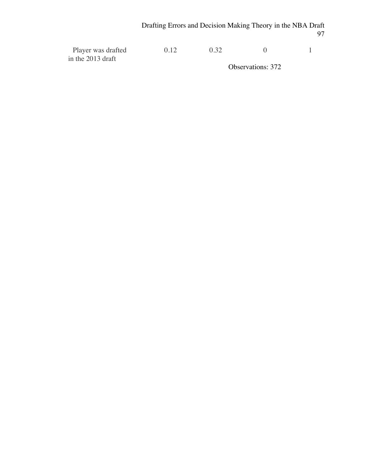| Player was drafted  | (112) | 0.32 |                          |  |
|---------------------|-------|------|--------------------------|--|
| in the $2013$ draft |       |      |                          |  |
|                     |       |      | <b>Observations: 372</b> |  |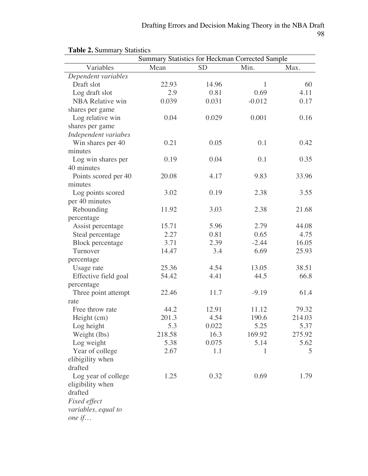|                         | Summary Statistics for Heckman Corrected Sample |           |          |        |
|-------------------------|-------------------------------------------------|-----------|----------|--------|
| Variables               | Mean                                            | <b>SD</b> | Min.     | Max.   |
| Dependent variables     |                                                 |           |          |        |
| Draft slot              | 22.93                                           | 14.96     | 1        | 60     |
| Log draft slot          | 2.9                                             | 0.81      | 0.69     | 4.11   |
| <b>NBA Relative win</b> | 0.039                                           | 0.031     | $-0.012$ | 0.17   |
| shares per game         |                                                 |           |          |        |
| Log relative win        | 0.04                                            | 0.029     | 0.001    | 0.16   |
| shares per game         |                                                 |           |          |        |
| Independent variabes    |                                                 |           |          |        |
| Win shares per 40       | 0.21                                            | 0.05      | 0.1      | 0.42   |
| minutes                 |                                                 |           |          |        |
| Log win shares per      | 0.19                                            | 0.04      | 0.1      | 0.35   |
| 40 minutes              |                                                 |           |          |        |
| Points scored per 40    | 20.08                                           | 4.17      | 9.83     | 33.96  |
| minutes                 |                                                 |           |          |        |
| Log points scored       | 3.02                                            | 0.19      | 2.38     | 3.55   |
| per 40 minutes          |                                                 |           |          |        |
| Rebounding              | 11.92                                           | 3.03      | 2.38     | 21.68  |
| percentage              |                                                 |           |          |        |
| Assist percentage       | 15.71                                           | 5.96      | 2.79     | 44.08  |
| Steal percentage        | 2.27                                            | 0.81      | 0.65     | 4.75   |
| <b>Block</b> percentage | 3.71                                            | 2.39      | $-2.44$  | 16.05  |
| Turnover                | 14.47                                           | 3.4       | 6.69     | 25.93  |
| percentage              |                                                 |           |          |        |
| Usage rate              | 25.36                                           | 4.54      | 13.05    | 38.51  |
| Effective field goal    | 54.42                                           | 4.41      | 44.5     | 66.8   |
| percentage              |                                                 |           |          |        |
| Three point attempt     | 22.46                                           | 11.7      | $-9.19$  | 61.4   |
| rate                    |                                                 |           |          |        |
| Free throw rate         | 44.2                                            | 12.91     | 11.12    | 79.32  |
| Height (cm)             | 201.3                                           | 4.54      | 190.6    | 214.03 |
| Log height              | 5.3                                             | 0.022     | 5.25     | 5.37   |
| Weight (lbs)            | 218.58                                          | 16.3      | 169.92   | 275.92 |
| Log weight              | 5.38                                            | 0.075     | 5.14     | 5.62   |
| Year of college         | 2.67                                            | 1.1       | 1        | 5      |
| elibigility when        |                                                 |           |          |        |
| drafted                 |                                                 |           |          |        |
| Log year of college     | 1.25                                            | 0.32      | 0.69     | 1.79   |
| eligibility when        |                                                 |           |          |        |
| drafted                 |                                                 |           |          |        |
| Fixed effect            |                                                 |           |          |        |
| variables, equal to     |                                                 |           |          |        |
| one $if$                |                                                 |           |          |        |
|                         |                                                 |           |          |        |

# **Table 2.** Summary Statistics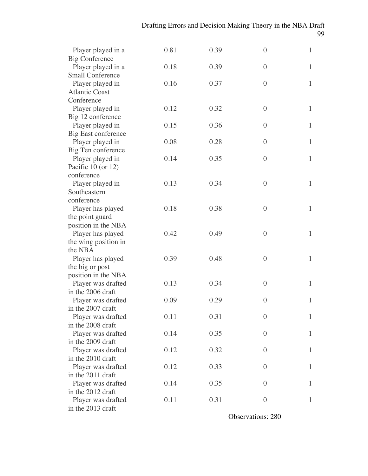| Player played in a         | 0.81 | 0.39 | $\overline{0}$   | $\mathbf{1}$ |
|----------------------------|------|------|------------------|--------------|
| <b>Big Conference</b>      |      |      |                  |              |
| Player played in a         | 0.18 | 0.39 | $\overline{0}$   | $\mathbf{1}$ |
| <b>Small Conference</b>    |      |      |                  |              |
| Player played in           | 0.16 | 0.37 | $\boldsymbol{0}$ | $\mathbf{1}$ |
| <b>Atlantic Coast</b>      |      |      |                  |              |
| Conference                 |      |      |                  |              |
| Player played in           | 0.12 | 0.32 | $\overline{0}$   | $\mathbf{1}$ |
| Big 12 conference          |      |      |                  |              |
| Player played in           | 0.15 | 0.36 | $\overline{0}$   | 1            |
| <b>Big East conference</b> |      |      |                  |              |
| Player played in           | 0.08 | 0.28 | $\boldsymbol{0}$ | $\mathbf{1}$ |
| Big Ten conference         |      |      |                  |              |
| Player played in           | 0.14 | 0.35 | $\overline{0}$   | $\mathbf{1}$ |
| Pacific 10 (or 12)         |      |      |                  |              |
| conference                 |      |      |                  |              |
| Player played in           | 0.13 | 0.34 | $\overline{0}$   | $\mathbf{1}$ |
| Southeastern               |      |      |                  |              |
| conference                 |      |      |                  |              |
| Player has played          | 0.18 | 0.38 | $\overline{0}$   | $\mathbf{1}$ |
| the point guard            |      |      |                  |              |
| position in the NBA        |      |      |                  |              |
| Player has played          | 0.42 | 0.49 | $\overline{0}$   | $\mathbf{1}$ |
| the wing position in       |      |      |                  |              |
| the NBA                    |      |      |                  |              |
| Player has played          | 0.39 | 0.48 | $\overline{0}$   | $\mathbf{1}$ |
| the big or post            |      |      |                  |              |
| position in the NBA        |      |      |                  |              |
| Player was drafted         | 0.13 | 0.34 | $\overline{0}$   | 1            |
| in the 2006 draft          |      |      |                  |              |
| Player was drafted         | 0.09 | 0.29 | $\overline{0}$   | $\mathbf{1}$ |
| in the 2007 draft          |      |      |                  |              |
| Player was drafted         | 0.11 | 0.31 | $\boldsymbol{0}$ |              |
| in the 2008 draft          |      |      |                  |              |
| Player was drafted         | 0.14 | 0.35 | $\boldsymbol{0}$ | $\mathbf{1}$ |
| in the 2009 draft          |      |      |                  |              |
| Player was drafted         | 0.12 | 0.32 | $\boldsymbol{0}$ | 1            |
| in the 2010 draft          |      |      |                  |              |
| Player was drafted         | 0.12 | 0.33 | $\boldsymbol{0}$ | 1            |
| in the 2011 draft          |      |      |                  |              |
| Player was drafted         | 0.14 | 0.35 | $\theta$         | $\mathbf{1}$ |
| in the 2012 draft          |      |      |                  |              |
| Player was drafted         | 0.11 | 0.31 | $\boldsymbol{0}$ | 1            |
| in the 2013 draft          |      |      |                  |              |

Observations: 280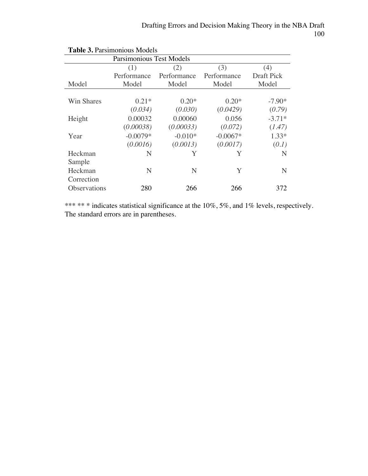| <b>Parsimonious Test Models</b> |             |             |             |                   |  |
|---------------------------------|-------------|-------------|-------------|-------------------|--|
|                                 | (1)         | (2)         | (3)         | (4)               |  |
|                                 | Performance | Performance | Performance | <b>Draft Pick</b> |  |
| Model                           | Model       | Model       | Model       | Model             |  |
|                                 |             |             |             |                   |  |
| Win Shares                      | $0.21*$     | $0.20*$     | $0.20*$     | $-7.90*$          |  |
|                                 | (0.034)     | (0.030)     | (0.0429)    | (0.79)            |  |
| Height                          | 0.00032     | 0.00060     | 0.056       | $-3.71*$          |  |
|                                 | (0.00038)   | (0.00033)   | (0.072)     | (1.47)            |  |
| Year                            | $-0.0079*$  | $-0.010*$   | $-0.0067*$  | $1.33*$           |  |
|                                 | (0.0016)    | (0.0013)    | (0.0017)    | (0.1)             |  |
| Heckman                         | N           | Y           | Y           | N                 |  |
| Sample                          |             |             |             |                   |  |
| Heckman                         | N           | N           | Y           | N                 |  |
| Correction                      |             |             |             |                   |  |
| Observations                    | 280         | 266         | 266         | 372               |  |

**Table 3.** Parsimonious Models

\*\*\* \*\* \* indicates statistical significance at the 10%, 5%, and 1% levels, respectively. The standard errors are in parentheses.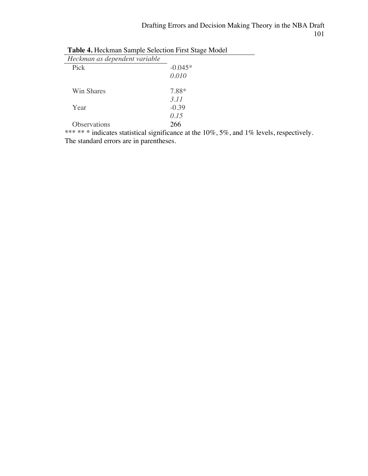$\overline{\phantom{0}}$ 

| Heckman as dependent variable |           |
|-------------------------------|-----------|
| Pick                          | $-0.045*$ |
|                               | 0.010     |
| Win Shares                    | 7.88*     |
|                               | 3.11      |
| Year                          | $-0.39$   |
|                               | 0.15      |
| Observations                  | 266       |

| <b>Table 4. Heckman Sample Selection First Stage Model</b> |  |
|------------------------------------------------------------|--|
|                                                            |  |

\*\*\* \*\* \* indicates statistical significance at the 10%, 5%, and 1% levels, respectively. The standard errors are in parentheses.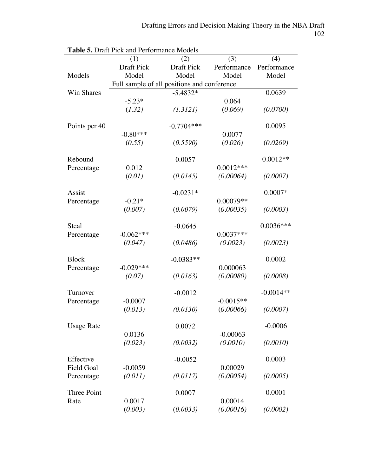|                   | <b>I able 5.</b> Dialt I ICK and I Chomiance Models<br>(1) | (2)                                         | (3)         |                    |
|-------------------|------------------------------------------------------------|---------------------------------------------|-------------|--------------------|
|                   | <b>Draft Pick</b>                                          | Draft Pick                                  | Performance | (4)<br>Performance |
| Models            | Model                                                      | Model                                       | Model       | Model              |
|                   |                                                            | Full sample of all positions and conference |             |                    |
| Win Shares        |                                                            | $-5.4832*$                                  |             | 0.0639             |
|                   | $-5.23*$                                                   |                                             | 0.064       |                    |
|                   | (1.32)                                                     | (1.3121)                                    | (0.069)     | (0.0700)           |
|                   |                                                            |                                             |             |                    |
| Points per 40     |                                                            | $-0.7704***$                                |             | 0.0095             |
|                   | $-0.80***$                                                 |                                             | 0.0077      |                    |
|                   | (0.55)                                                     | (0.5590)                                    | (0.026)     | (0.0269)           |
|                   |                                                            |                                             |             |                    |
| Rebound           |                                                            | 0.0057                                      |             | $0.0012**$         |
| Percentage        | 0.012                                                      |                                             | $0.0012***$ |                    |
|                   | (0.01)                                                     | (0.0145)                                    | (0.00064)   | (0.0007)           |
|                   |                                                            |                                             |             |                    |
| Assist            |                                                            | $-0.0231*$                                  |             | $0.0007*$          |
| Percentage        | $-0.21*$                                                   |                                             | 0.00079**   |                    |
|                   | (0.007)                                                    | (0.0079)                                    | (0.00035)   | (0.0003)           |
|                   |                                                            |                                             |             |                    |
| Steal             |                                                            | $-0.0645$                                   |             | $0.0036***$        |
| Percentage        | $-0.062***$                                                |                                             | $0.0037***$ |                    |
|                   | (0.047)                                                    | (0.0486)                                    | (0.0023)    | (0.0023)           |
|                   |                                                            |                                             |             |                    |
| <b>Block</b>      |                                                            | $-0.0383**$                                 |             | 0.0002             |
| Percentage        | $-0.029***$                                                |                                             | 0.000063    |                    |
|                   | (0.07)                                                     | (0.0163)                                    | (0.00080)   | (0.0008)           |
|                   |                                                            |                                             |             |                    |
| Turnover          |                                                            | $-0.0012$                                   |             | $-0.0014**$        |
| Percentage        | $-0.0007$                                                  |                                             | $-0.0015**$ |                    |
|                   | (0.013)                                                    | (0.0130)                                    | (0.00066)   | (0.0007)           |
|                   |                                                            |                                             |             |                    |
| <b>Usage Rate</b> |                                                            | 0.0072                                      |             | $-0.0006$          |
|                   | 0.0136                                                     |                                             | $-0.00063$  |                    |
|                   | (0.023)                                                    | (0.0032)                                    | (0.0010)    | (0.0010)           |
|                   |                                                            |                                             |             |                    |
| Effective         |                                                            | $-0.0052$                                   |             | 0.0003             |
| <b>Field Goal</b> | $-0.0059$                                                  |                                             | 0.00029     |                    |
| Percentage        | (0.011)                                                    | (0.0117)                                    | (0.00054)   | (0.0005)           |
|                   |                                                            |                                             |             |                    |
| Three Point       |                                                            | 0.0007                                      |             | 0.0001             |
| Rate              | 0.0017                                                     |                                             | 0.00014     |                    |
|                   | (0.003)                                                    | (0.0033)                                    | (0.00016)   | (0.0002)           |

**Table 5.** Draft Pick and Performance Models